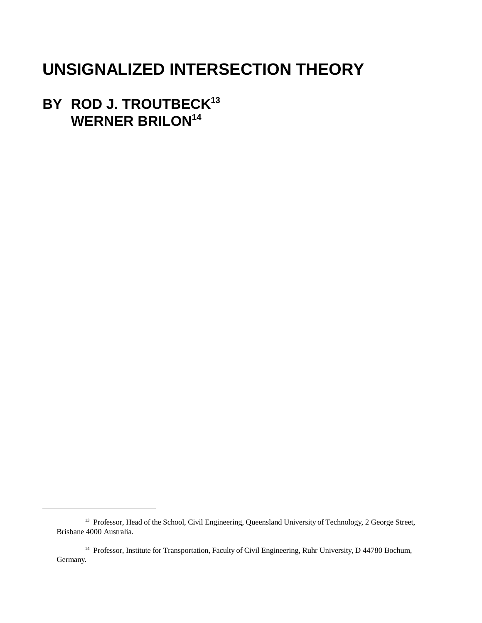# **UNSIGNALIZED INTERSECTION THEORY**

**BY ROD J. TROUTBECK<sup>13</sup> WERNER BRILON14**

<sup>&</sup>lt;sup>13</sup> Professor, Head of the School, Civil Engineering, Queensland University of Technology, 2 George Street, Brisbane 4000 Australia.

<sup>&</sup>lt;sup>14</sup> Professor, Institute for Transportation, Faculty of Civil Engineering, Ruhr University, D 44780 Bochum, Germany.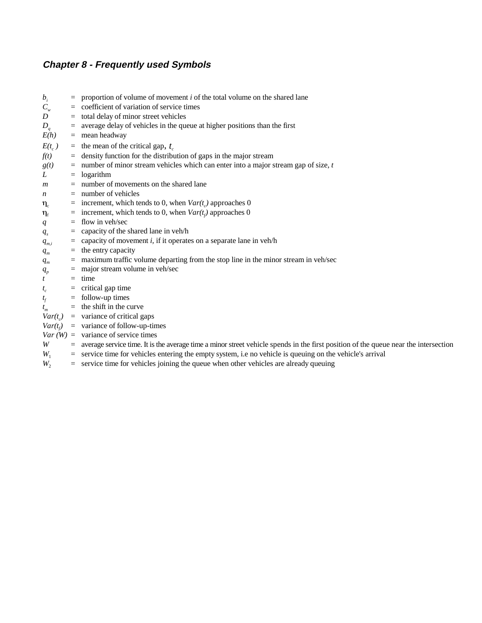# **Chapter 8 - Frequently used Symbols**

| $b_i$          | $=$      | proportion of volume of movement <i>i</i> of the total volume on the shared lane                                                    |
|----------------|----------|-------------------------------------------------------------------------------------------------------------------------------------|
| $C_{w}$        | $=$      | coefficient of variation of service times                                                                                           |
| D              | $=$      | total delay of minor street vehicles                                                                                                |
| $D_q$          | $\equiv$ | average delay of vehicles in the queue at higher positions than the first                                                           |
| E(h)           |          | $=$ mean headway                                                                                                                    |
| $E(t_c)$       |          | = the mean of the critical gap, $t_c$                                                                                               |
| f(t)           | $=$      | density function for the distribution of gaps in the major stream                                                                   |
| g(t)           | $\equiv$ | number of minor stream vehicles which can enter into a major stream gap of size, $t$                                                |
| L              | $\equiv$ | logarithm                                                                                                                           |
| $\mathfrak{m}$ | $=$      | number of movements on the shared lane                                                                                              |
| n              | $=$      | number of vehicles                                                                                                                  |
| $\eta_c$       |          | increment, which tends to 0, when $Var(t_c)$ approaches 0                                                                           |
| $\eta_{\rm f}$ | $\equiv$ | increment, which tends to 0, when $Var(t_f)$ approaches 0                                                                           |
| q              | $=$      | flow in veh/sec                                                                                                                     |
| $q_s$          | $=$      | capacity of the shared lane in veh/h                                                                                                |
| $q_{m,i}$      |          | capacity of movement $i$ , if it operates on a separate lane in veh/h                                                               |
| $q_m$          | $\equiv$ | the entry capacity                                                                                                                  |
| $q_m$          | $=$      | maximum traffic volume departing from the stop line in the minor stream in veh/sec                                                  |
| $q_p$          |          | major stream volume in veh/sec                                                                                                      |
|                | $=$      | time                                                                                                                                |
|                | $=$      | critical gap time                                                                                                                   |
| $t_f$          | $\equiv$ | follow-up times                                                                                                                     |
|                |          | the shift in the curve                                                                                                              |
| $Var(t_c)$     |          | $=$ variance of critical gaps                                                                                                       |
| $Var(t_f)$     |          | $=$ variance of follow-up-times                                                                                                     |
|                |          | $Var(W) = \text{variance of service times}$                                                                                         |
| W              | $\equiv$ | average service time. It is the average time a minor street vehicle spends in the first position of the queue near the intersection |
| $W_1$          | $=$      | service time for vehicles entering the empty system, i.e no vehicle is queuing on the vehicle's arrival                             |
| W,             |          | $=$ service time for vehicles joining the queue when other vehicles are already queuing                                             |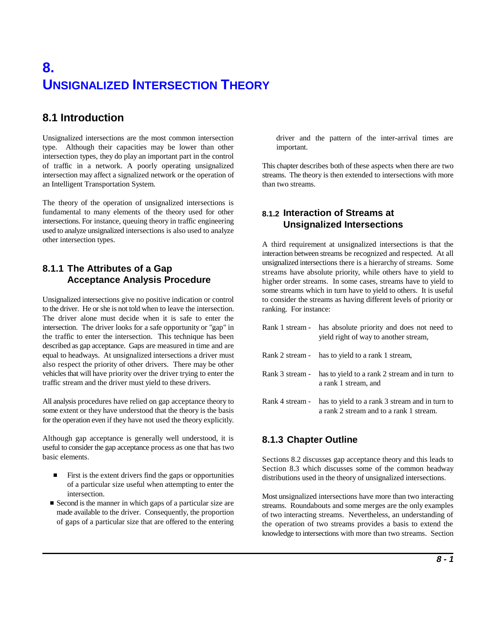# **8. UNSIGNALIZED INTERSECTION THEORY**

# **8.1 Introduction**

Unsignalized intersections are the most common intersection driver and the pattern of the inter-arrival times are type. Although their capacities may be lower than other important. intersection types, they do play an important part in the control of traffic in a network. A poorly operating unsignalized This chapter describes both of these aspects when there are two intersection may affect a signalized network or the operation of streams. The theory is then extended to intersections with more an Intelligent Transportation System. than two streams.

The theory of the operation of unsignalized intersections is fundamental to many elements of the theory used for other intersections. For instance, queuing theory in traffic engineering used to analyze unsignalized intersections is also used to analyze other intersection types.

# **8.1.1 The Attributes of a Gap Acceptance Analysis Procedure**

Unsignalized intersections give no positive indication or control to the driver. He or she is not told when to leave the intersection. The driver alone must decide when it is safe to enter the intersection. The driver looks for a safe opportunity or "gap" in the traffic to enter the intersection. This technique has been described as gap acceptance. Gaps are measured in time and are equal to headways. At unsignalized intersections a driver must also respect the priority of other drivers. There may be other vehicles that will have priority over the driver trying to enter the traffic stream and the driver must yield to these drivers.

All analysis procedures have relied on gap acceptance theory to some extent or they have understood that the theory is the basis for the operation even if they have not used the theory explicitly.

Although gap acceptance is generally well understood, it is useful to consider the gap acceptance process as one that has two basic elements.

- $\blacksquare$  First is the extent drivers find the gaps or opportunities of a particular size useful when attempting to enter the intersection.
- Second is the manner in which gaps of a particular size are made available to the driver. Consequently, the proportion of gaps of a particular size that are offered to the entering

# **8.1.2 Interaction of Streams at Unsignalized Intersections**

A third requirement at unsignalized intersections is that the interaction between streams be recognized and respected. At all unsignalized intersections there is a hierarchy of streams. Some streams have absolute priority, while others have to yield to higher order streams. In some cases, streams have to yield to some streams which in turn have to yield to others. It is useful to consider the streams as having different levels of priority or ranking. For instance:

| Rank 1 stream - has absolute priority and does not need to<br>yield right of way to another stream,       |
|-----------------------------------------------------------------------------------------------------------|
| Rank 2 stream - has to yield to a rank 1 stream,                                                          |
| Rank 3 stream - has to yield to a rank 2 stream and in turn to<br>a rank 1 stream, and                    |
| Rank 4 stream - has to yield to a rank 3 stream and in turn to<br>a rank 2 stream and to a rank 1 stream. |

# **8.1.3 Chapter Outline**

Sections 8.2 discusses gap acceptance theory and this leads to Section 8.3 which discusses some of the common headway distributions used in the theory of unsignalized intersections.

Most unsignalized intersections have more than two interacting streams. Roundabouts and some merges are the only examples of two interacting streams. Nevertheless, an understanding of the operation of two streams provides a basis to extend the knowledge to intersections with more than two streams. Section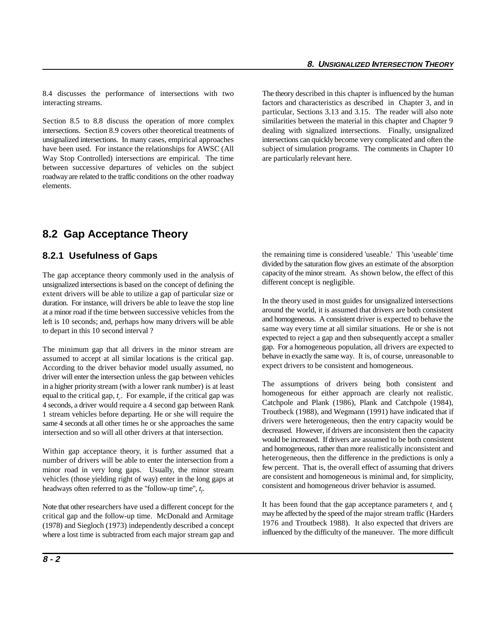8.4 discusses the performance of intersections with two The theory described in this chapter is influenced by the human interacting streams. factors and characteristics as described in Chapter 3, and in

Section 8.5 to 8.8 discuss the operation of more complex similarities between the material in this chapter and Chapter 9 intersections. Section 8.9 covers other theoretical treatments of dealing with signalized intersections. Finally, unsignalized unsignalized intersections. In many cases, empirical approaches intersections can quickly become very complicated and often the have been used. For instance the relationships for AWSC (All subject of simulation programs. The comments in Chapter 10 Way Stop Controlled) intersections are empirical. The time are particularly relevant here. between successive departures of vehicles on the subject roadway are related to the traffic conditions on the other roadway elements.

particular, Sections 3.13 and 3.15. The reader will also note

# **8.2 Gap Acceptance Theory**

### **8.2.1 Usefulness of Gaps**

The gap acceptance theory commonly used in the analysis of unsignalized intersections is based on the concept of defining the extent drivers will be able to utilize a gap of particular size or duration. For instance, will drivers be able to leave the stop line at a minor road if the time between successive vehicles from the left is 10 seconds; and, perhaps how many drivers will be able to depart in this 10 second interval ?

The minimum gap that all drivers in the minor stream are assumed to accept at all similar locations is the critical gap. According to the driver behavior model usually assumed, no driver will enter the intersection unless the gap between vehicles in a higher priority stream (with a lower rank number) is at least equal to the critical gap,  $t_c$ . For example, if the critical gap was 4 seconds, a driver would require a 4 second gap between Rank 1 stream vehicles before departing. He or she will require the same 4 seconds at all other times he or she approaches the same intersection and so will all other drivers at that intersection.

Within gap acceptance theory, it is further assumed that a number of drivers will be able to enter the intersection from a minor road in very long gaps. Usually, the minor stream vehicles (those yielding right of way) enter in the long gaps at headways often referred to as the "follow-up time",  $t_f$ .

Note that other researchers have used a different concept for the critical gap and the follow-up time. McDonald and Armitage (1978) and Siegloch (1973) independently described a concept where a lost time is subtracted from each major stream gap and the remaining time is considered 'useable.' This 'useable' time divided by the saturation flow gives an estimate of the absorption capacity of the minor stream. As shown below, the effect of this different concept is negligible.

In the theory used in most guides for unsignalized intersections around the world, it is assumed that drivers are both consistent and homogeneous. A consistent driver is expected to behave the same way every time at all similar situations. He or she is not expected to reject a gap and then subsequently accept a smaller gap. For a homogeneous population, all drivers are expected to behave in exactly the same way. It is, of course, unreasonable to expect drivers to be consistent and homogeneous.

The assumptions of drivers being both consistent and homogeneous for either approach are clearly not realistic. Catchpole and Plank (1986), Plank and Catchpole (1984), Troutbeck (1988), and Wegmann (1991) have indicated that if drivers were heterogeneous, then the entry capacity would be decreased. However, if drivers are inconsistent then the capacity would be increased. If drivers are assumed to be both consistent and homogeneous, rather than more realistically inconsistent and heterogeneous, then the difference in the predictions is only a few percent. That is, the overall effect of assuming that drivers are consistent and homogeneous is minimal and, for simplicity, consistent and homogeneous driver behavior is assumed.

It has been found that the gap acceptance parameters  $t_c$  and  $t_f$ may be affected by the speed of the major stream traffic (Harders 1976 and Troutbeck 1988). It also expected that drivers are influenced by the difficulty of the maneuver. The more difficult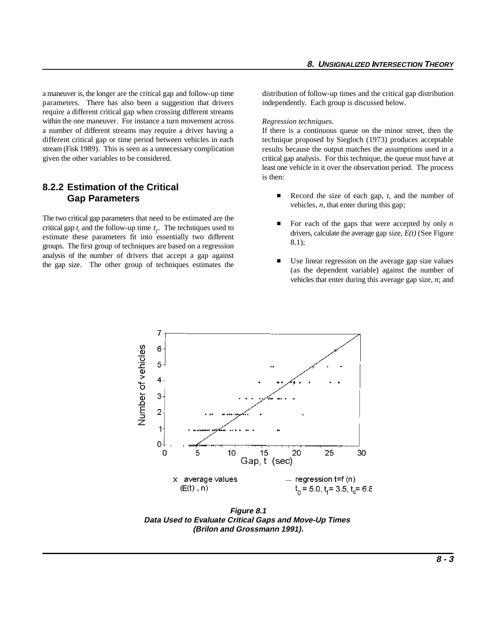a maneuver is, the longer are the critical gap and follow-up time distribution of follow-up times and the critical gap distribution parameters. There has also been a suggestion that drivers independently. Each group is discussed below. require a different critical gap when crossing different streams within the one maneuver. For instance a turn movement across a number of different streams may require a driver having a different critical gap or time period between vehicles in each stream (Fisk 1989). This is seen as a unnecessary complication given the other variables to be considered.

#### **8.2.2 Estimation of the Critical Gap Parameters**

critical gap  $t_c$  and the follow-up time  $t_f$ . The techniques used to The two critical gap parameters that need to be estimated are the estimate these parameters fit into essentially two different groups. The first group of techniques are based on a regression analysis of the number of drivers that accept a gap against the gap size. The other group of techniques estimates the

#### *Regression techniques.*

If there is a continuous queue on the minor street, then the technique proposed by Siegloch (1973) produces acceptable results because the output matches the assumptions used in a critical gap analysis. For this technique, the queue must have at least one vehicle in it over the observation period. The process is then:

- $\blacksquare$  Record the size of each gap, *t*, and the number of vehicles, *n*, that enter during this gap;
- $\blacksquare$  For each of the gaps that were accepted by only *n* drivers, calculate the average gap size, *E(t)* (See Figure 8.1);
- $\blacksquare$  Use linear regression on the average gap size values (as the dependent variable) against the number of vehicles that enter during this average gap size, *n*; and



**Figure 8.1 Data Used to Evaluate Critical Gaps and Move-Up Times (Brilon and Grossmann 1991).**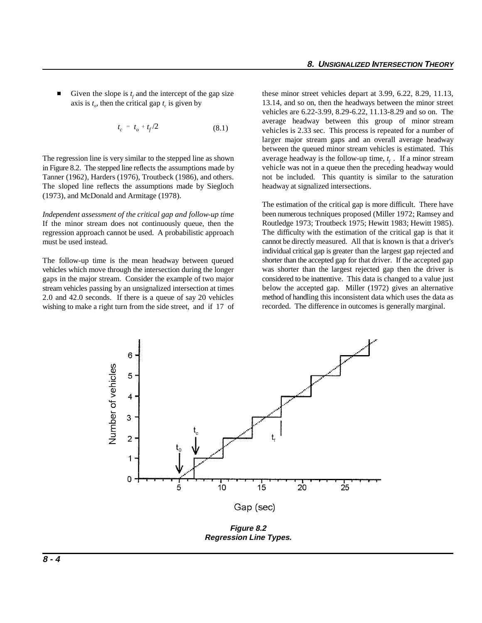$\blacksquare$ Given the slope is  $t_f$  and the intercept of the gap size axis is  $t_o$ , then the critical gap  $t_c$  is given by

$$
t_c = t_o + t_f/2 \tag{8.1}
$$

The regression line is very similar to the stepped line as shown in Figure 8.2. The stepped line reflects the assumptions made by Tanner (1962), Harders (1976), Troutbeck (1986), and others. The sloped line reflects the assumptions made by Siegloch (1973), and McDonald and Armitage (1978).

*Independent assessment of the critical gap and follow-up time* If the minor stream does not continuously queue, then the regression approach cannot be used. A probabilistic approach must be used instead.

The follow-up time is the mean headway between queued vehicles which move through the intersection during the longer gaps in the major stream. Consider the example of two major stream vehicles passing by an unsignalized intersection at times 2.0 and 42.0 seconds. If there is a queue of say 20 vehicles wishing to make a right turn from the side street, and if 17 of these minor street vehicles depart at 3.99, 6.22, 8.29, 11.13, 13.14, and so on, then the headways between the minor street vehicles are 6.22-3.99, 8.29-6.22, 11.13-8.29 and so on. The average headway between this group of minor stream vehicles is 2.33 sec. This process is repeated for a number of larger major stream gaps and an overall average headway between the queued minor stream vehicles is estimated. This average headway is the follow-up time,  $t_f$ . If a minor stream vehicle was not in a queue then the preceding headway would not be included. This quantity is similar to the saturation headway at signalized intersections.

The estimation of the critical gap is more difficult. There have been numerous techniques proposed (Miller 1972; Ramsey and Routledge 1973; Troutbeck 1975; Hewitt 1983; Hewitt 1985). The difficulty with the estimation of the critical gap is that it cannot be directly measured. All that is known is that a driver's individual critical gap is greater than the largest gap rejected and shorter than the accepted gap for that driver. If the accepted gap was shorter than the largest rejected gap then the driver is considered to be inattentive. This data is changed to a value just below the accepted gap. Miller (1972) gives an alternative method of handling this inconsistent data which uses the data as recorded. The difference in outcomes is generally marginal.



**Figure 8.2 Regression Line Types.**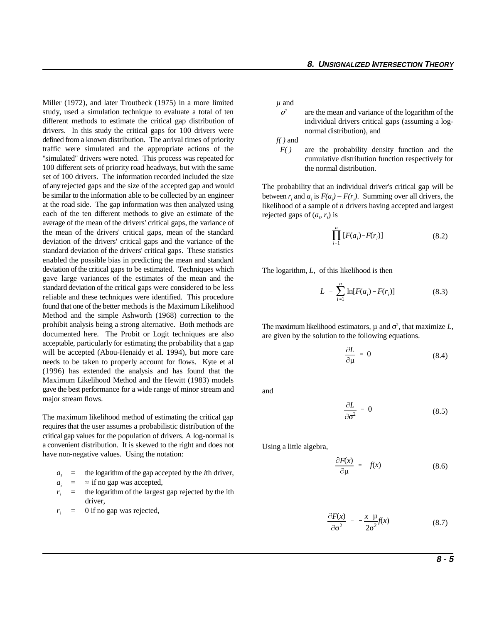Miller (1972), and later Troutbeck (1975) in a more limited study, used a simulation technique to evaluate a total of ten different methods to estimate the critical gap distribution of drivers. In this study the critical gaps for 100 drivers were defined from a known distribution. The arrival times of priority traffic were simulated and the appropriate actions of the "simulated" drivers were noted. This process was repeated for 100 different sets of priority road headways, but with the same set of 100 drivers. The information recorded included the size of any rejected gaps and the size of the accepted gap and would be similar to the information able to be collected by an engineer at the road side. The gap information was then analyzed using each of the ten different methods to give an estimate of the average of the mean of the drivers' critical gaps, the variance of the mean of the drivers' critical gaps, mean of the standard deviation of the drivers' critical gaps and the variance of the standard deviation of the drivers' critical gaps. These statistics enabled the possible bias in predicting the mean and standard deviation of the critical gaps to be estimated. Techniques which gave large variances of the estimates of the mean and the standard deviation of the critical gaps were considered to be less reliable and these techniques were identified. This procedure found that one of the better methods is the Maximum Likelihood Method and the simple Ashworth (1968) correction to the prohibit analysis being a strong alternative. Both methods are documented here. The Probit or Logit techniques are also acceptable, particularly for estimating the probability that a gap will be accepted (Abou-Henaidy et al. 1994), but more care needs to be taken to properly account for flows. Kyte et al (1996) has extended the analysis and has found that the Maximum Likelihood Method and the Hewitt (1983) models gave the best performance for a wide range of minor stream and major stream flows.

The maximum likelihood method of estimating the critical gap requires that the user assumes a probabilistic distribution of the critical gap values for the population of drivers. A log-normal is a convenient distribution. It is skewed to the right and does not have non-negative values. Using the notation:

- $a_i$  = the logarithm of the gap accepted by the *i*th driver,
- $a_i = \infty$  if no gap was accepted,
- $r_i$  = the logarithm of the largest gap rejected by the ith driver,
- $r_i$  = 0 if no gap was rejected,

*µ* and

 $\sigma^2$  are the mean and variance of the logarithm of the individual drivers critical gaps (assuming a lognormal distribution), and

*f( )* and

 *F( )* are the probability density function and the cumulative distribution function respectively for the normal distribution.

The probability that an individual driver's critical gap will be between  $r_i$  and  $a_i$  is  $F(a_i) - F(r_i)$ . Summing over all drivers, the likelihood of a sample of *n* drivers having accepted and largest rejected gaps of  $(a_i, r_i)$  is

$$
\prod_{i=1}^{n} [F(a_i) - F(r_i)] \tag{8.2}
$$

The logarithm, *L*, of this likelihood is then

$$
L = \sum_{i=1}^{n} \ln[F(a_i) - F(r_i)] \tag{8.3}
$$

The maximum likelihood estimators,  $\mu$  and  $\sigma^2$ , that maximize *L*, are given by the solution to the following equations.

$$
\frac{\partial L}{\partial \mu} = 0 \tag{8.4}
$$

and

$$
\frac{\partial L}{\partial \sigma^2} = 0 \tag{8.5}
$$

Using a little algebra,

$$
\frac{\partial F(x)}{\partial \mu} = -f(x) \tag{8.6}
$$

$$
\frac{\partial F(x)}{\partial \sigma^2} = -\frac{x-\mu}{2\sigma^2}f(x) \tag{8.7}
$$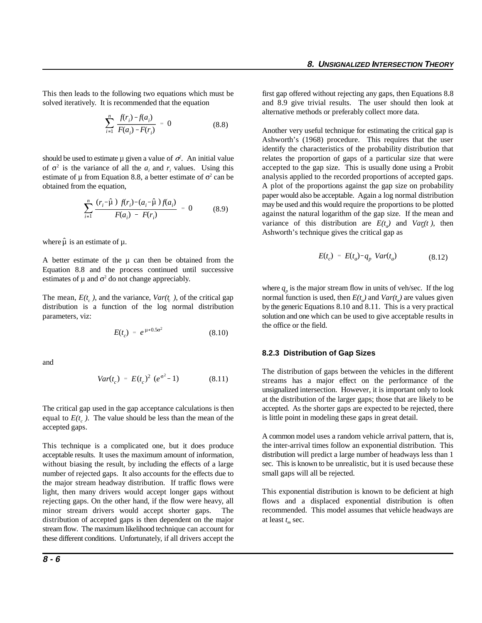This then leads to the following two equations which must be first gap offered without rejecting any gaps, then Equations 8.8

$$
\sum_{i=1}^{n} \frac{f(r_i) - f(a_i)}{F(a_i) - F(r_i)} = 0
$$
\n(8.8)

should be used to estimate  $\mu$  given a value of  $\sigma^2$ . An initial value of  $\sigma^2$  is the variance of all the  $a_i$  and  $r_i$  values. Using this estimate of  $\mu$  from Equation 8.8, a better estimate of  $\sigma^2$  can be obtained from the equation,

$$
\sum_{i=1}^{n} \frac{(r_i - \hat{\mu}) f(r_i) - (a_i - \hat{\mu}) f(a_i)}{F(a_i) - F(r_i)} = 0
$$
 (8.9)

where  $\hat{\mu}$  is an estimate of  $\mu$ .

A better estimate of the  $\mu$  can then be obtained from the Equation 8.8 and the process continued until successive estimates of  $\mu$  and  $\sigma^2$  do not change appreciably.

$$
E(t_c) = e^{\mu + 0.5\sigma^2}
$$
 (8.10)

and

$$
Var(t_c) = E(t_c)^2 (e^{\sigma^2} - 1)
$$
 (8.11)

The critical gap used in the gap acceptance calculations is then equal to  $E(t_c)$ . The value should be less than the mean of the accepted gaps.

This technique is a complicated one, but it does produce acceptable results. It uses the maximum amount of information, without biasing the result, by including the effects of a large number of rejected gaps. It also accounts for the effects due to the major stream headway distribution. If traffic flows were light, then many drivers would accept longer gaps without rejecting gaps. On the other hand, if the flow were heavy, all minor stream drivers would accept shorter gaps. The distribution of accepted gaps is then dependent on the major stream flow. The maximum likelihood technique can account for these different conditions. Unfortunately, if all drivers accept the

solved iteratively. It is recommended that the equation and 8.9 give trivial results. The user should then look at alternative methods or preferably collect more data.

> Another very useful technique for estimating the critical gap is Ashworth's (1968) procedure. This requires that the user identify the characteristics of the probability distribution that relates the proportion of gaps of a particular size that were accepted to the gap size. This is usually done using a Probit analysis applied to the recorded proportions of accepted gaps. A plot of the proportions against the gap size on probability paper would also be acceptable. Again a log normal distribution may be used and this would require the proportions to be plotted against the natural logarithm of the gap size. If the mean and variance of this distribution are  $E(t_a)$  and  $Var(t)$ , then Ashworth's technique gives the critical gap as

$$
E(t_c) = E(t_a) - q_p \ Var(t_a) \tag{8.12}
$$

The mean,  $E(t_c)$ , and the variance,  $Var(t_c)$ , of the critical gap normal function is used, then  $E(t_a)$  and  $Var(t_a)$  are values given distribution is a function of the log normal distribution by the generic Equations 8.10 and 8.11. This is a very practical parameters, viz: solution and one which can be used to give acceptable results in where  $q_p$  is the major stream flow in units of veh/sec. If the log the office or the field.

#### **8.2.3 Distribution of Gap Sizes**

The distribution of gaps between the vehicles in the different streams has a major effect on the performance of the unsignalized intersection. However, it is important only to look at the distribution of the larger gaps; those that are likely to be accepted. As the shorter gaps are expected to be rejected, there is little point in modeling these gaps in great detail.

A common model uses a random vehicle arrival pattern, that is, the inter-arrival times follow an exponential distribution. This distribution will predict a large number of headways less than 1 sec. This is known to be unrealistic, but it is used because these small gaps will all be rejected.

This exponential distribution is known to be deficient at high flows and a displaced exponential distribution is often recommended. This model assumes that vehicle headways are at least  $t_m$  sec.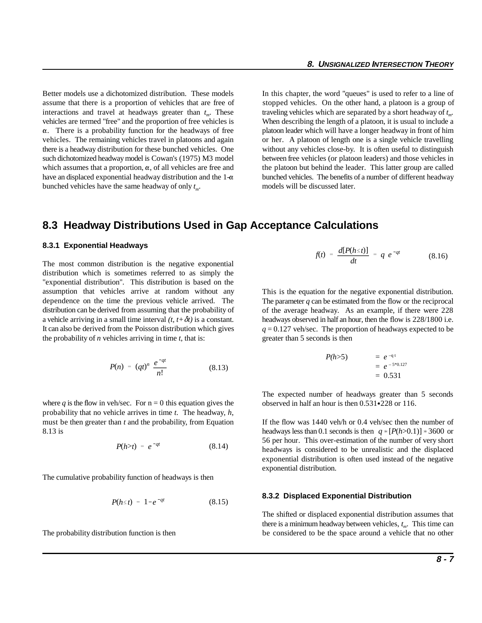Better models use a dichotomized distribution. These models In this chapter, the word "queues" is used to refer to a line of assume that there is a proportion of vehicles that are free of stopped vehicles. On the other hand, a platoon is a group of interactions and travel at headways greater than  $t_m$ . These traveling vehicles which are separated by a short headway of  $t_m$ . vehicles are termed "free" and the proportion of free vehicles is When describing the length of a platoon, it is usual to include a  $\alpha$ . There is a probability function for the headways of free platoon leader which will have a longer headway in front of him vehicles. The remaining vehicles travel in platoons and again or her. A platoon of length one is a single vehicle travelling there is a headway distribution for these bunched vehicles. One without any vehicles close-by. It is often useful to distinguish such dichotomized headway model is Cowan's (1975) M3 model between free vehicles (or platoon leaders) and those vehicles in which assumes that a proportion,  $\alpha$ , of all vehicles are free and the platoon but behind the leader. This latter group are called have an displaced exponential headway distribution and the  $1-\alpha$  bunched vehicles. The benefits of a number of different headway bunched vehicles have the same headway of only  $t_m$ .

models will be discussed later.

#### **8.3 Headway Distributions Used in Gap Acceptance Calculations**

#### **8.3.1 Exponential Headways**

The most common distribution is the negative exponential distribution which is sometimes referred to as simply the "exponential distribution". This distribution is based on the assumption that vehicles arrive at random without any dependence on the time the previous vehicle arrived. The distribution can be derived from assuming that the probability of a vehicle arriving in a small time interval  $(t, t + \delta t)$  is a constant. It can also be derived from the Poisson distribution which gives the probability of *n* vehicles arriving in time *t*, that is:

$$
P(n) = (qt)^n \frac{e^{-qt}}{n!}
$$
 (8.13)

where *q* is the flow in veh/sec. For  $n = 0$  this equation gives the probability that no vehicle arrives in time *t*. The headway, *h*, must be then greater than *t* and the probability, from Equation If the flow was 1440 veh/h or 0.4 veh/sec then the number of

$$
P(h>t) = e^{-qt} \qquad (8.14)
$$

The cumulative probability function of headways is then

$$
P(h \leq t) = 1 - e^{-qt} \tag{8.15}
$$

$$
f(t) = \frac{d[P(h \le t)]}{dt} = q e^{-qt}
$$
 (8.16)

This is the equation for the negative exponential distribution. The parameter *q* can be estimated from the flow or the reciprocal of the average headway. As an example, if there were 228 headways observed in half an hour, then the flow is 228/1800 i.e. *q* = 0.127 veh/sec. The proportion of headways expected to be greater than 5 seconds is then

$$
P(h>5) = e^{-q t} \n= e^{-5*0.127} \n= 0.531
$$

The expected number of headways greater than 5 seconds observed in half an hour is then  $0.531 \cdot 228$  or 116.

and  $\alpha$  is the definition of the conduction of the conduction of  $\alpha$  is the conduction of  $\alpha$  (*P(h>0.1)*]  $*3600$  or headways less than 0.1 seconds is then  $q * [P(h>0.1)] * 3600$  or 56 per hour. This over-estimation of the number of very short headways is considered to be unrealistic and the displaced exponential distribution is often used instead of the negative exponential distribution.

#### **8.3.2 Displaced Exponential Distribution**

The probability distribution function is then be considered to be the space around a vehicle that no other The shifted or displaced exponential distribution assumes that there is a minimum headway between vehicles,  $t_m$ . This time can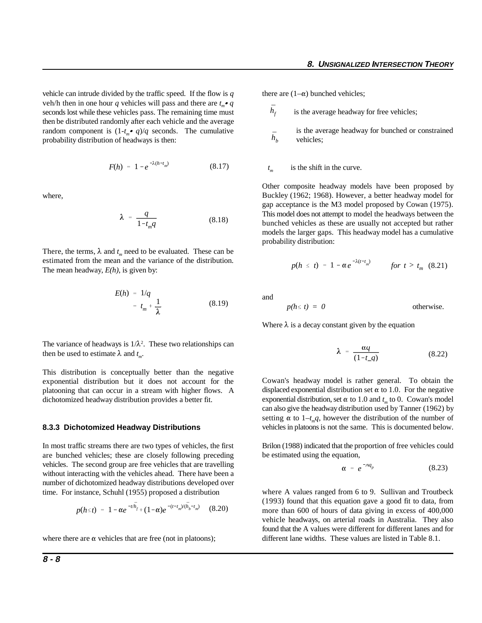vehicle can intrude divided by the traffic speed. If the flow is *q* veh/h then in one hour *q* vehicles will pass and there are  $t_m \bullet q$ seconds lost while these vehicles pass. The remaining time must then be distributed randomly after each vehicle and the average random component is  $(1-t \cdot q)/q$  seconds. The cumulative probability distribution of headways is then:

$$
F(h) = 1 - e^{-\lambda (h - t_m)}
$$
 (8.17)

where,

$$
\lambda = \frac{q}{1 - t_m q} \tag{8.18}
$$

There, the terms,  $\lambda$  and  $t_m$  need to be evaluated. These can be estimated from the mean and the variance of the distribution. The mean headway, *E(h)*, is given by:

$$
E(h) = 1/q
$$
  
=  $t_m + \frac{1}{\lambda}$  (8.19)

The variance of headways is  $1/\lambda^2$ . These two relationships can then be used to estimate  $\lambda$  and  $t_m$ .

This distribution is conceptually better than the negative exponential distribution but it does not account for the platooning that can occur in a stream with higher flows. A dichotomized headway distribution provides a better fit.

#### **8.3.3 Dichotomized Headway Distributions**

In most traffic streams there are two types of vehicles, the first are bunched vehicles; these are closely following preceding vehicles. The second group are free vehicles that are travelling without interacting with the vehicles ahead. There have been a number of dichotomized headway distributions developed over time. For instance, Schuhl (1955) proposed a distribution

$$
p(h \leq t) = 1 - \alpha e^{-t/\bar{h}_f} + (1 - \alpha)e^{-(t - t_m)/(\bar{h}_b - t_m)} \quad (8.20)
$$

where there are  $\alpha$  vehicles that are free (not in platoons);

- $\bar{h}_f$ is the average headway for free vehicles;
- $\bar{h}_b$ is the average headway for bunched or constrained vehicles;

 $t_m$  is the shift in the curve.

Other composite headway models have been proposed by Buckley (1962; 1968). However, a better headway model for gap acceptance is the M3 model proposed by Cowan (1975). This model does not attempt to model the headways between the bunched vehicles as these are usually not accepted but rather models the larger gaps. This headway model has a cumulative probability distribution:

$$
p(h \leq t) = 1 - \alpha e^{-\lambda(t - t_m)} \qquad \text{for } t > t_m \ (8.21)
$$

and

$$
p(h \leq t) = 0
$$
 otherwise.

Where  $\lambda$  is a decay constant given by the equation

$$
\lambda = \frac{\alpha q}{(1 - t_{\ldots} q)}
$$
 (8.22)

Cowan's headway model is rather general. To obtain the displaced exponential distribution set  $\alpha$  to 1.0. For the negative exponential distribution, set  $\alpha$  to 1.0 and  $t_m$  to 0. Cowan's model can also give the headway distribution used by Tanner (1962) by setting  $\alpha$  to 1–*t<sub>m</sub>q*, however the distribution of the number of vehicles in platoons is not the same. This is documented below.

Brilon (1988) indicated that the proportion of free vehicles could be estimated using the equation,

$$
\alpha = e^{-Aq_p} \tag{8.23}
$$

where A values ranged from 6 to 9. Sullivan and Troutbeck (1993) found that this equation gave a good fit to data, from more than 600 of hours of data giving in excess of 400,000 vehicle headways, on arterial roads in Australia. They also found that the A values were different for different lanes and for different lane widths. These values are listed in Table 8.1.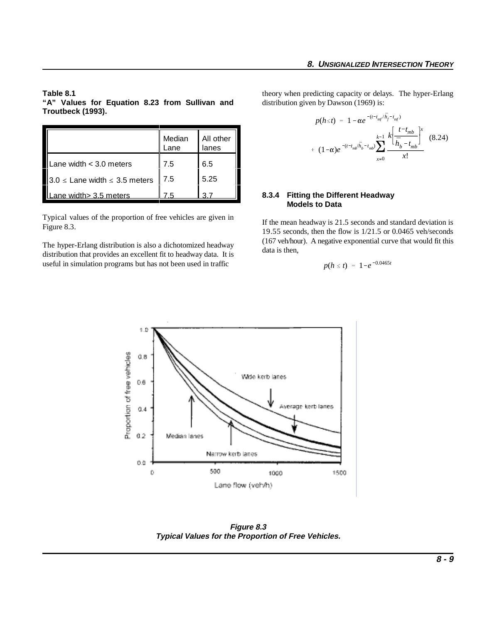**"A" Values for Equation 8.23 from Sullivan and Troutbeck (1993).**

|                                       | Median<br>Lane | All other<br>lanes |
|---------------------------------------|----------------|--------------------|
| Lane width $<$ 3.0 meters             | 7.5            | 6.5                |
| $3.0 \le$ Lane width $\le$ 3.5 meters | 7.5            | 5.25               |
| ane width> 3.5 meters                 |                |                    |

Typical values of the proportion of free vehicles are given in Figure 8.3.

The hyper-Erlang distribution is also a dichotomized headway distribution that provides an excellent fit to headway data. It is useful in simulation programs but has not been used in traffic

**Table 8.1** theory when predicting capacity or delays. The hyper-Erlang distribution given by Dawson (1969) is:

$$
p(h \le t) = 1 - \alpha e^{- (t - t_{mf}/\bar{h}_f - t_{mf})}
$$
  
+  $(1 - \alpha)e^{-(t - t_{mf}/\bar{h}_b - t_{mb})} \sum_{x=0}^{k-1} \frac{k \left[ \frac{t - t_{mb}}{\bar{h}_b - t_{mb}} \right]^x}{x!}$  (8.24)

#### **8.3.4 Fitting the Different Headway Models to Data**

If the mean headway is 21.5 seconds and standard deviation is 19.55 seconds, then the flow is 1/21.5 or 0.0465 veh/seconds (167 veh/hour). A negative exponential curve that would fit this data is then,

$$
p(h \leq t) = 1 - e^{-0.0465t}
$$



**Figure 8.3 Typical Values for the Proportion of Free Vehicles.**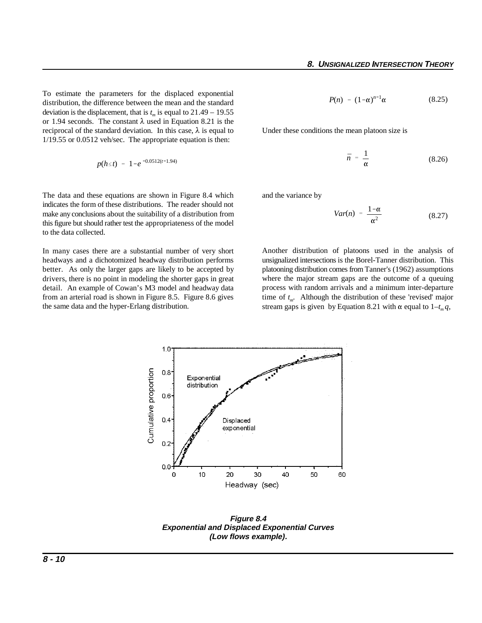To estimate the parameters for the displaced exponential distribution, the difference between the mean and the standard deviation is the displacement, that is  $t_m$  is equal to 21.49 – 19.55 or 1.94 seconds. The constant  $\lambda$  used in Equation 8.21 is the reciprocal of the standard deviation. In this case,  $\lambda$  is equal to 1/19.55 or 0.0512 veh/sec. The appropriate equation is then:

$$
p(h \leq t) = 1 - e^{-0.0512(t-1.94)}
$$

The data and these equations are shown in Figure 8.4 which indicates the form of these distributions. The reader should not make any conclusions about the suitability of a distribution from this figure but should rather test the appropriateness of the model to the data collected.

In many cases there are a substantial number of very short headways and a dichotomized headway distribution performs better. As only the larger gaps are likely to be accepted by drivers, there is no point in modeling the shorter gaps in great detail. An example of Cowan's M3 model and headway data from an arterial road is shown in Figure 8.5. Figure 8.6 gives time of  $t_m$ . Although the distribution of these 'revised' major the same data and the hyper-Erlang distribution.

$$
P(n) = (1-\alpha)^{n-1}\alpha \qquad (8.25)
$$

Under these conditions the mean platoon size is

$$
\bar{n} = \frac{1}{\alpha} \tag{8.26}
$$

and the variance by

$$
Var(n) = \frac{1-\alpha}{\alpha^2} \tag{8.27}
$$

Another distribution of platoons used in the analysis of unsignalized intersections is the Borel-Tanner distribution. This platooning distribution comes from Tanner's (1962) assumptions where the major stream gaps are the outcome of a queuing process with random arrivals and a minimum inter-departure stream gaps is given by Equation 8.21 with  $\alpha$  equal to  $1-t_m q$ ,



**Figure 8.4 Exponential and Displaced Exponential Curves (Low flows example).**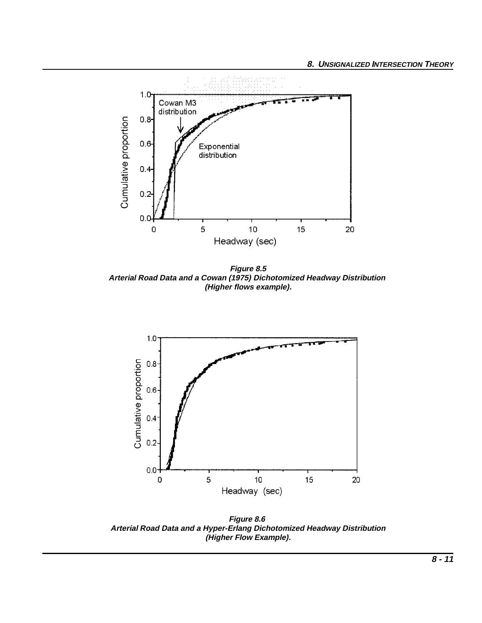

**Figure 8.5 Arterial Road Data and a Cowan (1975) Dichotomized Headway Distribution (Higher flows example).**



**Figure 8.6 Arterial Road Data and a Hyper-Erlang Dichotomized Headway Distribution (Higher Flow Example).**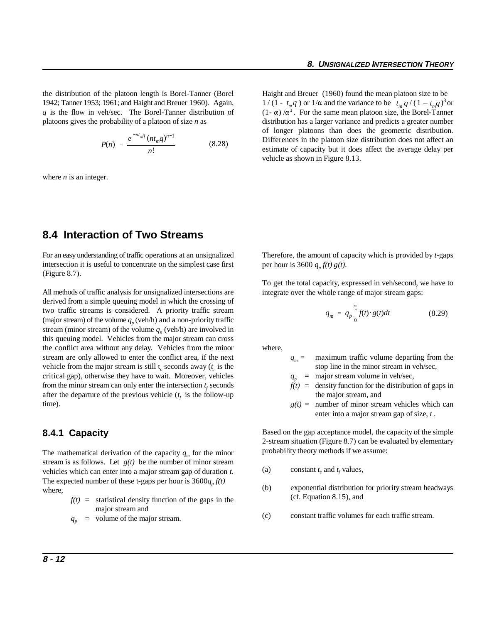the distribution of the platoon length is Borel-Tanner (Borel Haight and Breuer (1960) found the mean platoon size to be 1942; Tanner 1953; 1961; and Haight and Breuer 1960). Again, q is the flow in veh/sec. The Borel-Tanner distribution of  $(1 - \alpha) / \alpha^3$ . For the same mean platoon size, the Borel-Tanner platoons gives the probability of a platoon of size *n* as

$$
P(n) = \frac{e^{-nt_m q} (nt_m q)^{n-1}}{n!}
$$
 (8.28)

where *n* is an integer.

 $1/(1 - t_m q)$  or  $1/\alpha$  and the variance to be  $t_m q/(1 - t_m q)^3$  or distribution has a larger variance and predicts a greater number of longer platoons than does the geometric distribution. Differences in the platoon size distribution does not affect an estimate of capacity but it does affect the average delay per vehicle as shown in Figure 8.13.

## **8.4 Interaction of Two Streams**

For an easy understanding of traffic operations at an unsignalized intersection it is useful to concentrate on the simplest case first (Figure 8.7).

All methods of traffic analysis for unsignalized intersections are derived from a simple queuing model in which the crossing of two traffic streams is considered. A priority traffic stream (major stream) of the volume  $q_p$  (veh/h) and a non-priority traffic stream (minor stream) of the volume  $q_{n}$  (veh/h) are involved in this queuing model. Vehicles from the major stream can cross the conflict area without any delay. Vehicles from the minor where, stream are only allowed to enter the conflict area, if the next vehicle from the major stream is still t<sub>r</sub> seconds away ( $t_c$  is the stop line in the minor stream in veh/sec, critical gap), otherwise they have to wait. Moreover, vehicles from the minor stream can only enter the intersection  $t_f$  seconds after the departure of the previous vehicle  $(t_f$  is the follow-up the major stream, and time).

#### **8.4.1 Capacity**

The mathematical derivation of the capacity  $q_m$  for the minor stream is as follows. Let  $g(t)$  be the number of minor stream vehicles which can enter into a major stream gap of duration *t*. The expected number of these t-gaps per hour is  $3600q<sub>n</sub> f(t)$ where,

- $f(t)$  = statistical density function of the gaps in the major stream and
- $q_n$  = volume of the major stream.

Therefore, the amount of capacity which is provided by *t*-gaps per hour is 3600  $q_n f(t) g(t)$ .

To get the total capacity, expressed in veh/second, we have to integrate over the whole range of major stream gaps:

$$
q_m = q_p \int\limits_0^\infty f(t) \cdot g(t) dt \qquad (8.29)
$$

- $q_m$  = maximum traffic volume departing from the
- $q_p$  = major stream volume in veh/sec,
- $f(t)$  = density function for the distribution of gaps in
- $g(t)$  = number of minor stream vehicles which can enter into a major stream gap of size, *t* .

Based on the gap acceptance model, the capacity of the simple 2-stream situation (Figure 8.7) can be evaluated by elementary probability theory methods if we assume:

- (a) constant  $t_c$  and  $t_f$  values,
- (b) exponential distribution for priority stream headways (cf. Equation 8.15), and
- (c) constant traffic volumes for each traffic stream.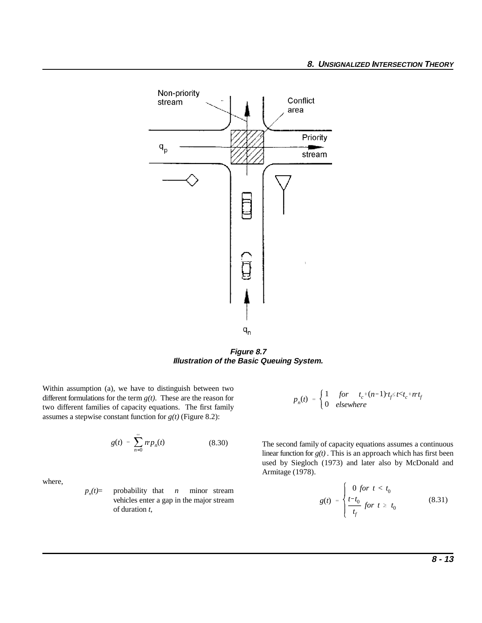

**Figure 8.7 Illustration of the Basic Queuing System.**

Within assumption (a), we have to distinguish between two different formulations for the term *g(t)*. These are the reason for two different families of capacity equations. The first family assumes a stepwise constant function for *g(t)* (Figure 8.2):

$$
g(t) = \sum_{n=0}^{\infty} n p_n(t) \tag{8.30}
$$

where,

 $p_n(t)$  = probability that *n* minor stream vehicles enter a gap in the major stream of duration *t*,

$$
p_n(t) = \begin{cases} 1 & \text{for } t_c^+(n-1) \cdot t_f \le t < t_c^+ n \cdot t_f \\ 0 & \text{elsewhere} \end{cases}
$$

The second family of capacity equations assumes a continuous linear function for  $g(t)$ . This is an approach which has first been used by Siegloch (1973) and later also by McDonald and Armitage (1978).

$$
g(t) = \begin{cases} 0 \text{ for } t < t_0 \\ \frac{t - t_0}{t_f} \text{ for } t \ge t_0 \end{cases} \tag{8.31}
$$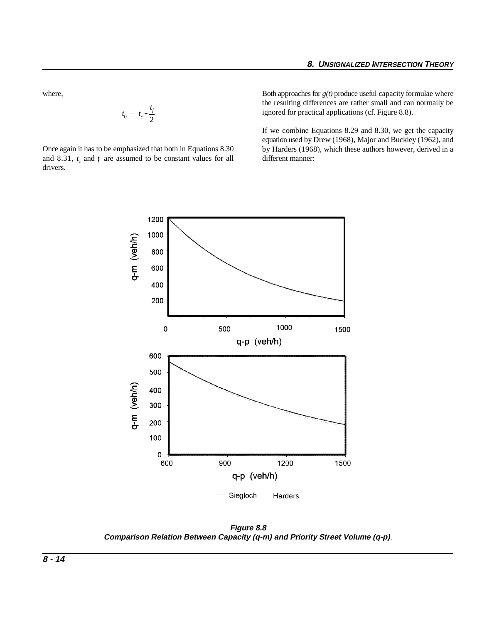where,

$$
t_0 = t_c - \frac{t_f}{2}
$$

Once again it has to be emphasized that both in Equations 8.30 and 8.31,  $t_c$  and  $\dot{t}$  are assumed to be constant values for all different manner: drivers.

Both approaches for *g(t)* produce useful capacity formulae where the resulting differences are rather small and can normally be ignored for practical applications (cf. Figure 8.8).

If we combine Equations 8.29 and 8.30, we get the capacity equation used by Drew (1968), Major and Buckley (1962), and by Harders (1968), which these authors however, derived in a



**Figure 8.8 Comparison Relation Between Capacity (q-m) and Priority Street Volume (q-p)**.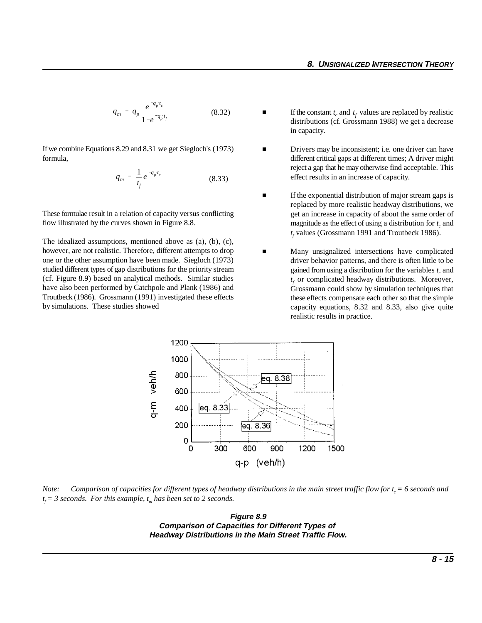$$
q_m = q_p \frac{e^{-q_p t_c}}{1 - e^{-q_p t_f}}
$$
 (8.32)

If we combine Equations 8.29 and 8.31 we get Siegloch's (1973) formula,

$$
q_m = \frac{1}{t_f} e^{-q_p t_c}
$$
 (8.33)

These formulae result in a relation of capacity versus conflicting flow illustrated by the curves shown in Figure 8.8.

The idealized assumptions, mentioned above as (a), (b), (c), however, are not realistic. Therefore, different attempts to drop one or the other assumption have been made. Siegloch (1973) studied different types of gap distributions for the priority stream (cf. Figure 8.9) based on analytical methods. Similar studies have also been performed by Catchpole and Plank (1986) and Troutbeck (1986). Grossmann (1991) investigated these effects by simulations. These studies showed

- **f** If the constant  $t_c$  and  $t_f$  values are replaced by realistic  $\blacksquare$ distributions (cf. Grossmann 1988) we get a decrease in capacity.
- $\blacksquare$  Drivers may be inconsistent; i.e. one driver can have different critical gaps at different times; A driver might reject a gap that he may otherwise find acceptable. This effect results in an increase of capacity.
- Г If the exponential distribution of major stream gaps is replaced by more realistic headway distributions, we get an increase in capacity of about the same order of magnitude as the effect of using a distribution for  $t_c$  and  $t_f$  values (Grossmann 1991 and Troutbeck 1986).
- п Many unsignalized intersections have complicated driver behavior patterns, and there is often little to be gained from using a distribution for the variables  $t_c$  and  $t_f$  or complicated headway distributions. Moreover, Grossmann could show by simulation techniques that these effects compensate each other so that the simple capacity equations, 8.32 and 8.33, also give quite realistic results in practice.



*Note:* Comparison of capacities for different types of headway distributions in the main street traffic flow for  $t_c = 6$  seconds and  $t_f = 3$  seconds. For this example,  $t_m$  has been set to 2 seconds.

**Figure 8.9 Comparison of Capacities for Different Types of Headway Distributions in the Main Street Traffic Flow.**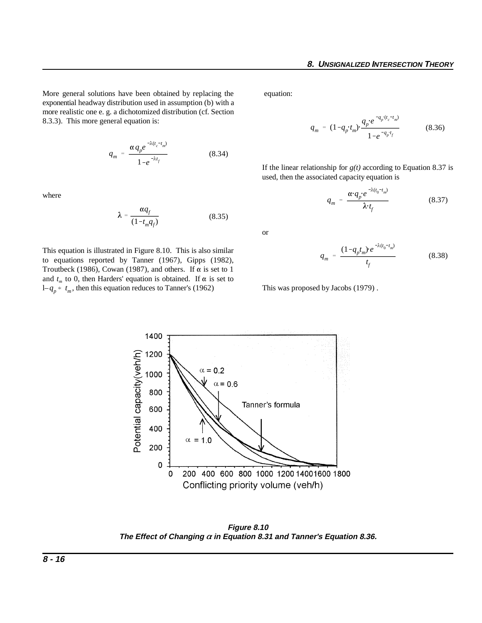More general solutions have been obtained by replacing the equation: exponential headway distribution used in assumption (b) with a more realistic one e. g. a dichotomized distribution (cf. Section 8.3.3). This more general equation is:

$$
q_m = \frac{\alpha q_p e^{-\lambda(t_c - t_m)}}{1 - e^{-\lambda t_f}}
$$
 (8.34)

where

$$
\lambda = \frac{\alpha q_f}{(1 - t_m q_f)}\tag{8.35}
$$

 $1-q_p * t_m$ , then this equation reduces to Tanner's (1962) This was proposed by Jacobs (1979). This equation is illustrated in Figure 8.10. This is also similar to equations reported by Tanner (1967), Gipps (1982), Troutbeck (1986), Cowan (1987), and others. If  $\alpha$  is set to 1 and  $t_m$  to 0, then Harders' equation is obtained. If  $\alpha$  is set to

$$
q_m = (1 - q_p \cdot t_m) \cdot \frac{q_p \, e^{-q_p \cdot (t_c - t_m)}}{1 - e^{-q_p \cdot t_f}}
$$
 (8.36)

If the linear relationship for  $g(t)$  according to Equation 8.37 is used, then the associated capacity equation is

$$
q_m = \frac{\alpha q_p e^{-\lambda (t_0 - t_m)}}{\lambda t_f}
$$
 (8.37)

or

$$
q_m = \frac{(1 - q_p t_m) e^{-\lambda (t_0 - t_m)}}{t_f}
$$
 (8.38)



**Figure 8.10 The Effect of Changing in Equation 8.31 and Tanner's Equation 8.36.**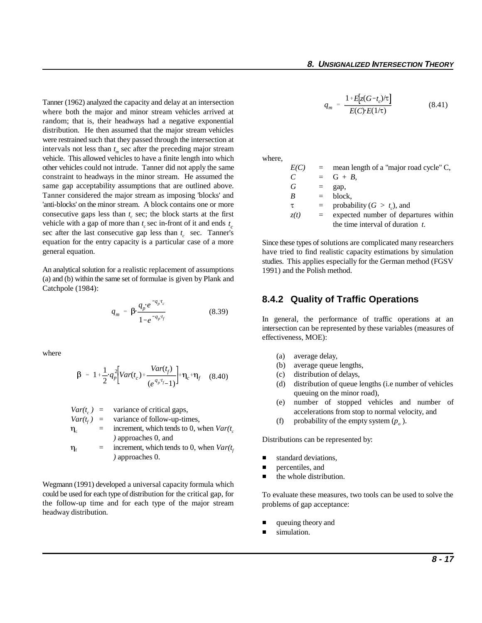vehicle with a gap of more than  $t_c$  sec in-front of it and ends  $t_c$ Tanner (1962) analyzed the capacity and delay at an intersection where both the major and minor stream vehicles arrived at random; that is, their headways had a negative exponential distribution. He then assumed that the major stream vehicles were restrained such that they passed through the intersection at intervals not less than  $t<sub>m</sub>$  sec after the preceding major stream vehicle. This allowed vehicles to have a finite length into which where, other vehicles could not intrude. Tanner did not apply the same constraint to headways in the minor stream. He assumed the same gap acceptability assumptions that are outlined above. Tanner considered the major stream as imposing 'blocks' and 'anti-blocks' on the minor stream. A block contains one or more consecutive gaps less than  $t_c$  sec; the block starts at the first sec after the last consecutive gap less than  $t_c$  sec. Tanner's equation for the entry capacity is a particular case of a more general equation.

An analytical solution for a realistic replacement of assumptions (a) and (b) within the same set of formulae is given by Plank and Catchpole (1984):

$$
q_m = \beta \cdot \frac{q_p e^{-q_p t_c}}{1 - e^{-q_p t_f}}
$$
 (8.39)

where

$$
\beta = 1 + \frac{1}{2} q_p^2 \left[ Var(t_c) + \frac{Var(t_f)}{(e^{q_p t_f} - 1)} \right] + \eta_c + \eta_f \quad (8.40)
$$

 $Var(t_c)$  = variance of critical gaps,

$$
Var(t_f) = \text{variance of follow-up-times},
$$

$$
\eta_c = \text{increment, which tends to 0, when } \text{Var}(t_c)
$$
\n
$$
\text{approaches 0, and}
$$

 $\eta_f$  = increment, which tends to 0, when  $Var(t_f)$ *)* approaches 0.

Wegmann (1991) developed a universal capacity formula which could be used for each type of distribution for the critical gap, for the follow-up time and for each type of the major stream headway distribution.

$$
q_m = \frac{1 + E[z(G-t_c)/\tau]}{E(C) \cdot E(1/\tau)}
$$
(8.41)

| E(C)          | $=$ | mean length of a "major road cycle" C, |
|---------------|-----|----------------------------------------|
| $\mathcal{C}$ |     | $= G + B$ .                            |
| G             |     | gap,                                   |
| B             | $=$ | block.                                 |
| τ             | $=$ | probability ( $G > t_c$ ), and         |
| z(t)          |     | expected number of departures within   |
|               |     | the time interval of duration $t$ .    |

Since these types of solutions are complicated many researchers have tried to find realistic capacity estimations by simulation studies. This applies especially for the German method (FGSV 1991) and the Polish method.

#### **8.4.2 Quality of Traffic Operations**

In general, the performance of traffic operations at an intersection can be represented by these variables (measures of effectiveness, MOE):

- (a) average delay,
- (b) average queue lengths,
- (c) distribution of delays,
- (d) distribution of queue lengths (i.e number of vehicles queuing on the minor road),
- (e) number of stopped vehicles and number of accelerations from stop to normal velocity, and
- (f) probability of the empty system  $(p_a)$ .

Distributions can be represented by:

- $\blacksquare$ standard deviations,
- $\blacksquare$ percentiles, and
- $\blacksquare$ the whole distribution.

To evaluate these measures, two tools can be used to solve the problems of gap acceptance:

- $\blacksquare$ queuing theory and
- $\blacksquare$ simulation.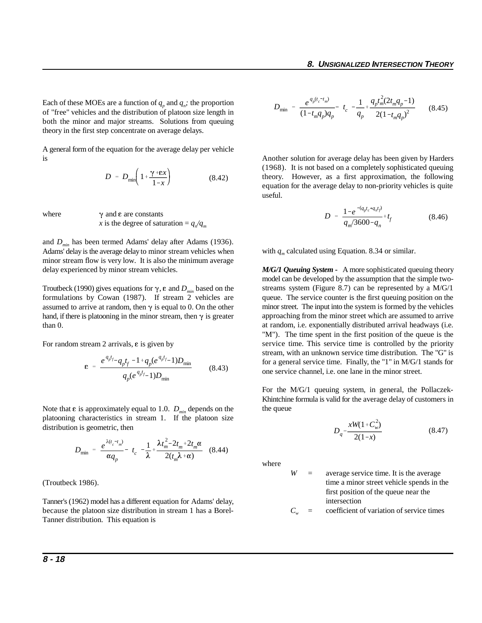Each of these MOEs are a function of  $q_p$  and  $q_n$ ; the proportion of "free" vehicles and the distribution of platoon size length in both the minor and major streams. Solutions from queuing theory in the first step concentrate on average delays.

A general form of the equation for the average delay per vehicle is

$$
D = D_{\min} \left( 1 + \frac{\gamma + \varepsilon x}{1 - x} \right) \tag{8.42}
$$

where  $\gamma$  and  $\epsilon$  are constants

*x* is the degree of saturation =  $q_n/q_m$ 

and  $D_{min}$  has been termed Adams' delay after Adams (1936). Adams' delay is the average delay to minor stream vehicles when minor stream flow is very low. It is also the minimum average delay experienced by minor stream vehicles.

Troutbeck (1990) gives equations for  $\gamma$ ,  $\varepsilon$  and  $D_{\text{min}}$  based on the formulations by Cowan (1987). If stream 2 vehicles are assumed to arrive at random, then  $\gamma$  is equal to 0. On the other hand, if there is platooning in the minor stream, then  $\gamma$  is greater than 0.

For random stream 2 arrivals,  $\varepsilon$  is given by

$$
\varepsilon = \frac{e^{q_p t_f} - q_p t_f - 1 + q_p (e^{q_p t_f} - 1) D_{\min}}{q_p (e^{q_p t_f} - 1) D_{\min}} \tag{8.43}
$$

Note that  $\varepsilon$  is approximately equal to 1.0.  $D_{min}$  depends on the platooning characteristics in stream 1. If the platoon size distribution is geometric, then

$$
D_{\min} = \frac{e^{\lambda(t_c - t_m)}}{\alpha q_p} - t_c - \frac{1}{\lambda} + \frac{\lambda t_m^2 - 2t_m + 2t_m \alpha}{2(t_m \lambda + \alpha)}
$$
 (8.44)

(Troutbeck 1986).

Tanner's (1962) model has a different equation for Adams' delay, because the platoon size distribution in stream 1 has a Borel-Tanner distribution. This equation is

$$
D_{\min} = \frac{e^{q_p(t_c - t_m)}}{(1 - t_m q_p)q_p} - t_c - \frac{1}{q_p} + \frac{q_p t_m^2 (2t_m q_p - 1)}{2(1 - t_m q_p)^2}
$$
(8.45)

Another solution for average delay has been given by Harders (1968). It is not based on a completely sophisticated queuing theory. However, as a first approximation, the following equation for the average delay to non-priority vehicles is quite useful.

$$
D = \frac{1 - e^{-(q_p t_c + q_n t_f)}}{q_m / 3600 - q_n} + t_f
$$
 (8.46)

with  $q_m$  calculated using Equation. 8.34 or similar.

*M/G/1 Queuing System* **-** A more sophisticated queuing theory model can be developed by the assumption that the simple twostreams system (Figure 8.7) can be represented by a M/G/1 queue. The service counter is the first queuing position on the minor street. The input into the system is formed by the vehicles approaching from the minor street which are assumed to arrive at random, i.e. exponentially distributed arrival headways (i.e. "M"). The time spent in the first position of the queue is the service time. This service time is controlled by the priority stream, with an unknown service time distribution. The "G" is for a general service time. Finally, the "1" in M/G/1 stands for one service channel, i.e. one lane in the minor street.

For the M/G/1 queuing system, in general, the Pollaczek-Khintchine formula is valid for the average delay of customers in the queue

$$
D_q = \frac{xW(1 + C_w^2)}{2(1 - x)}\tag{8.47}
$$

where

*W* = average service time. It is the average time a minor street vehicle spends in the first position of the queue near the intersection

 $C_w$  = coefficient of variation of service times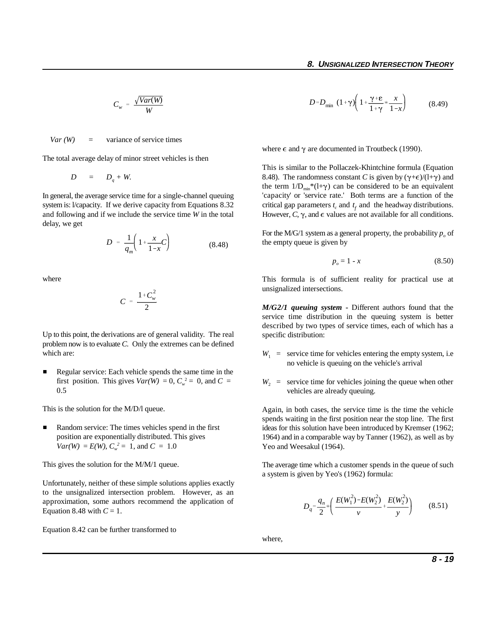$$
C_w = \frac{\sqrt{Var(W)}}{W}
$$

 $Var(W)$  = variance of service times

The total average delay of minor street vehicles is then

$$
D = D_q + W.
$$

system is: l/capacity. If we derive capacity from Equations 8.32 critical gap parameters  $t_c$  and  $t_f$  and the headway distributions. In general, the average service time for a single-channel queuing and following and if we include the service time *W* in the total However, *C*,  $\gamma$ , and  $\epsilon$  values are not available for all conditions. delay, we get

$$
D = \frac{1}{q_m} \left( 1 + \frac{x}{1 - x} C \right) \tag{8.48}
$$

where

$$
C = \frac{1 + C_w^2}{2}
$$

Up to this point, the derivations are of general validity. The real problem now is to evaluate *C*. Only the extremes can be defined which are:

 $\blacksquare$  Regular service: Each vehicle spends the same time in the first position. This gives  $Var(W) = 0$ ,  $C_w^2 = 0$ , and  $C =$ 0.5

This is the solution for the M/D/l queue.

 $\blacksquare$  Random service: The times vehicles spend in the first position are exponentially distributed. This gives  $Var(W) = E(W)$ ,  $C_w^2 = 1$ , and  $C = 1.0$ 

This gives the solution for the M/M/1 queue.

Unfortunately, neither of these simple solutions applies exactly to the unsignalized intersection problem. However, as an approximation, some authors recommend the application of Equation 8.48 with  $C = 1$ .

Equation 8.42 can be further transformed to

$$
D = D_{\min} \left(1 + \gamma \right) \left(1 + \frac{\gamma + \varepsilon}{1 + \gamma} + \frac{x}{1 - x}\right) \tag{8.49}
$$

where  $\epsilon$  and  $\gamma$  are documented in Troutbeck (1990).

This is similar to the Pollaczek-Khintchine formula (Equation 8.48). The randomness constant *C* is given by  $(\gamma + \epsilon)/(l + \gamma)$  and the term  $1/D_{min} * (1+\gamma)$  can be considered to be an equivalent 'capacity' or 'service rate.' Both terms are a function of the

For the M/G/1 system as a general property, the probability  $p_0$  of the empty queue is given by

$$
p_o = 1 - x \tag{8.50}
$$

This formula is of sufficient reality for practical use at unsignalized intersections.

*M/G2/1 queuing system* **-** Different authors found that the service time distribution in the queuing system is better described by two types of service times, each of which has a specific distribution:

- $W_1$  = service time for vehicles entering the empty system, i.e no vehicle is queuing on the vehicle's arrival
- $W_2$  = service time for vehicles joining the queue when other vehicles are already queuing.

Again, in both cases, the service time is the time the vehicle spends waiting in the first position near the stop line. The first ideas for this solution have been introduced by Kremser (1962; 1964) and in a comparable way by Tanner (1962), as well as by Yeo and Weesakul (1964).

The average time which a customer spends in the queue of such a system is given by Yeo's (1962) formula:

$$
D_q = \frac{q_n}{2} * \left( \frac{E(W_1^2) - E(W_2^2)}{v} + \frac{E(W_2^2)}{v} \right) \tag{8.51}
$$

where,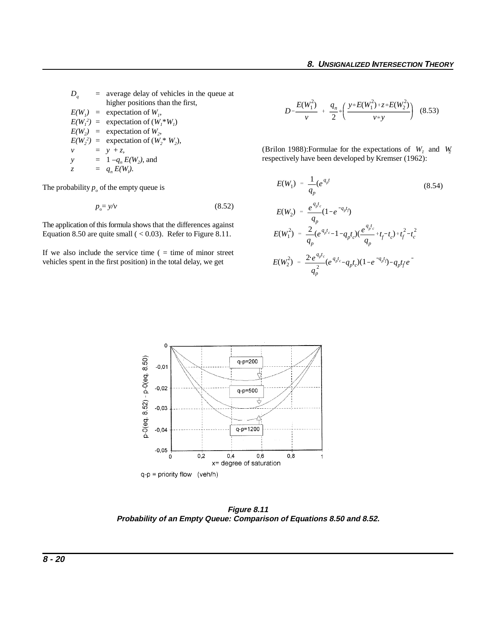The probability  $p<sub>o</sub>$  of the empty queue is

$$
p_{o} = y/v \tag{8.52}
$$

The application of this formula shows that the differences against Equation 8.50 are quite small  $( $0.03$ ). Refer to Figure 8.11.$ 

If we also include the service time  $($  = time of minor street vehicles spent in the first position) in the total delay, we get

$$
D = \frac{E(W_1^2)}{v} + \frac{q_n}{2} * \left( \frac{y * E(W_1^2) + z * E(W_2^2)}{v * y} \right) \tag{8.53}
$$

(Brilon 1988):Formulae for the expectations of  $W_i$  and  $W_j$ respectively have been developed by Kremser (1962):

$$
E(W_1) = \frac{1}{q_p} (e^{q_p t} \qquad (8.54)
$$
  
\n
$$
E(W_2) = \frac{e^{q_p t_c}}{q_p} (1 - e^{-q_p t})
$$
  
\n
$$
E(W_1^2) = \frac{2}{q_p} (e^{q_p t_c} - 1 - q_p t_c) (\frac{e^{q_p t_c}}{q_p} + t_f - t_c) + t_f^2 - t_c^2
$$
  
\n
$$
E(W_2^2) = \frac{2 e^{q_p t_c}}{q_p^2} (e^{q_p t_c} - q_p t_c) (1 - e^{-q_p t}) - q_p t_f e^{-t_c}
$$



**Figure 8.11 Probability of an Empty Queue: Comparison of Equations 8.50 and 8.52.**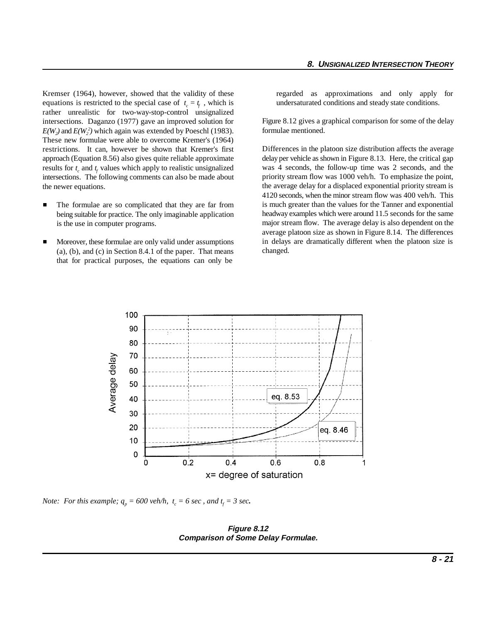Kremser (1964), however, showed that the validity of these regarded as approximations and only apply for equations is restricted to the special case of  $t_c = t_f$ , which is rather unrealistic for two-way-stop-control unsignalized intersections. Daganzo (1977) gave an improved solution for  $E(W_2)$  and  $E(W_2^2)$  which again was extended by Poeschl (1983). These new formulae were able to overcome Kremer's (1964) restrictions. It can, however be shown that Kremer's first approach (Equation 8.56) also gives quite reliable approximate results for  $t_c$  and  $t_f$  values which apply to realistic unsignalized intersections. The following comments can also be made about

 $\blacksquare$  The formulae are so complicated that they are far from being suitable for practice. The only imaginable application is the use in computer programs.

the newer equations.

 $\blacksquare$  Moreover, these formulae are only valid under assumptions (a), (b), and (c) in Section 8.4.1 of the paper. That means that for practical purposes, the equations can only be

undersaturated conditions and steady state conditions.

Figure 8.12 gives a graphical comparison for some of the delay formulae mentioned.

Differences in the platoon size distribution affects the average delay per vehicle as shown in Figure 8.13. Here, the critical gap was 4 seconds, the follow-up time was 2 seconds, and the priority stream flow was 1000 veh/h. To emphasize the point, the average delay for a displaced exponential priority stream is 4120 seconds, when the minor stream flow was 400 veh/h. This is much greater than the values for the Tanner and exponential headway examples which were around 11.5 seconds for the same major stream flow. The average delay is also dependent on the average platoon size as shown in Figure 8.14. The differences in delays are dramatically different when the platoon size is changed.



*Note: For this example;*  $q_p = 600$  *veh/h,*  $t_c = 6$  *sec*, and  $t_f = 3$  *sec*.

**Figure 8.12 Comparison of Some Delay Formulae.**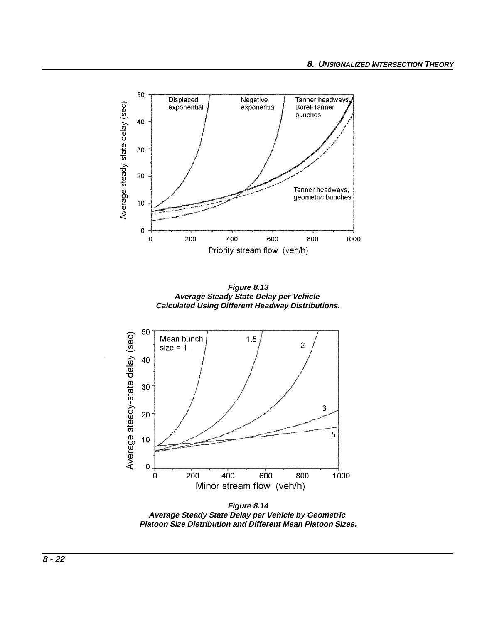

**Average Steady State Delay per Vehicle by Geometric Platoon Size Distribution and Different Mean Platoon Sizes.**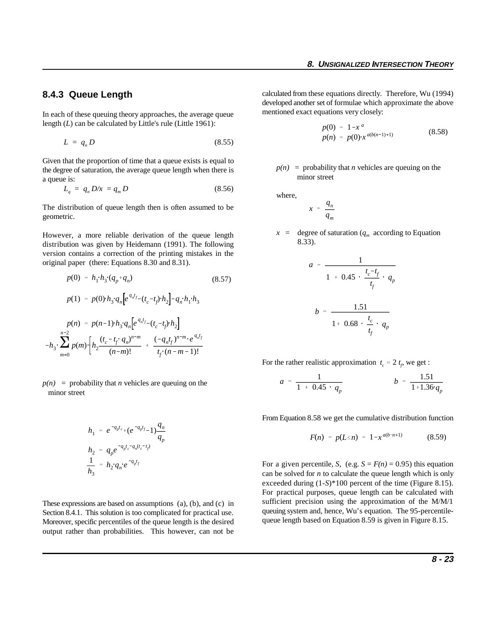#### **8.4.3 Queue Length**

In each of these queuing theory approaches, the average queue length (*L*) can be calculated by Little's rule (Little 1961):

$$
L = q_n D \tag{8.55}
$$

Given that the proportion of time that a queue exists is equal to the degree of saturation, the average queue length when there is a queue is:

$$
L_q = q_n D/x = q_m D \tag{8.56}
$$

The distribution of queue length then is often assumed to be geometric.

However, a more reliable derivation of the queue length distribution was given by Heidemann (1991). The following version contains a correction of the printing mistakes in the original paper (there: Equations 8.30 and 8.31).

$$
p(0) = h_1 h_3 (q_p + q_n)
$$
\n
$$
p(1) = p(0) h_3 q_n \left[ e^{q_n t_f} - (t_c - t_f) h_2 \right] - q_n h_1 h_3
$$
\n
$$
p(n) = p(n-1) h_3 q_n \left[ e^{q_n t_f} - (t_c - t_f) h_2 \right]
$$
\n
$$
-h_3 \sum_{m=0}^{n-2} p(m) \left[ h_2 \frac{(t_c - t_f) q_n^{n-m}}{(n-m)!} + \frac{(-q_n t_f)^{n-m} e^{q_n t_f}}{t_f (n-m-1)!} \right]
$$
\n(8.57)

 $p(n)$  = probability that *n* vehicles are queuing on the minor street

$$
h_1 = e^{-q_p t_c} + (e^{-q_p t_f} - 1) \frac{q_n}{q_p}
$$
  
\n
$$
h_2 = q_p e^{-q_p t_c - q_n (t_c - t_p)}
$$
  
\n
$$
\frac{1}{h_3} = h_2 q_n e^{-q_p t_f}
$$

These expressions are based on assumptions (a), (b), and (c) in Section 8.4.1. This solution is too complicated for practical use. Moreover, specific percentiles of the queue length is the desired output rather than probabilities. This however, can not be calculated from these equations directly. Therefore, Wu (1994) developed another set of formulae which approximate the above mentioned exact equations very closely:

$$
p(0) = 1 - x^a
$$
  
\n
$$
p(n) = p(0) \cdot x^{a(b(n-1)+1)}
$$
\n(8.58)

 $p(n)$  = probability that *n* vehicles are queuing on the minor street

where,

$$
x = \frac{q_n}{q_m}
$$

 $x = \text{degree of saturation } (q_m \text{ according to Equation})$ 8.33).

$$
a = \frac{1}{1 + 0.45 \cdot \frac{t_c - t_f}{t_f} \cdot q_p}
$$

$$
b = \frac{1.51}{1 + 0.68 \cdot \frac{t_c}{t_f} \cdot q_p}
$$

For the rather realistic approximation  $t_c \approx 2 t_f$ , we get :

$$
a = \frac{1}{1 + 0.45 \cdot q_p} \qquad b = \frac{1.51}{1 + 1.36 \cdot q_p}
$$

From Equation 8.58 we get the cumulative distribution function

$$
F(n) = p(L \le n) = 1 - x^{a(b \cdot n + 1)} \tag{8.59}
$$

For a given percentile, *S*, (e.g.  $S = F(n) = 0.95$ ) this equation can be solved for *n* to calculate the queue length which is only exceeded during (1-*S*)\*100 percent of the time (Figure 8.15). For practical purposes, queue length can be calculated with sufficient precision using the approximation of the M/M/1 queuing system and, hence, Wu's equation. The 95-percentilequeue length based on Equation 8.59 is given in Figure 8.15.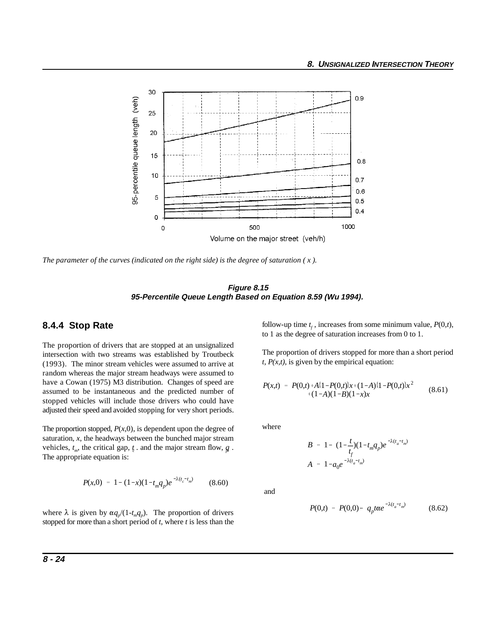

*The parameter of the curves (indicated on the right side) is the degree of saturation ( x ).*

**Figure 8.15 95-Percentile Queue Length Based on Equation 8.59 (Wu 1994).** 

#### **8.4.4 Stop Rate**

The proportion of drivers that are stopped at an unsignalized intersection with two streams was established by Troutbeck (1993). The minor stream vehicles were assumed to arrive at random whereas the major stream headways were assumed to have a Cowan (1975) M3 distribution. Changes of speed are assumed to be instantaneous and the predicted number of stopped vehicles will include those drivers who could have adjusted their speed and avoided stopping for very short periods.

The proportion stopped,  $P(x,0)$ , is dependent upon the degree of saturation, *x*, the headways between the bunched major stream vehicles,  $t_m$ , the critical gap,  $t_c$  and the major stream flow,  $q$ . The appropriate equation is:

$$
P(x,0) = 1 - (1-x)(1-t_mq_p)e^{-\lambda(t_c-t_m)}
$$
 (8.60)

where  $\lambda$  is given by  $\alpha q_p/(1-t_m q_p)$ . The proportion of drivers stopped for more than a short period of *t*, where *t* is less than the follow-up time  $t_f$ , increases from some minimum value,  $P(0,t)$ , to 1 as the degree of saturation increases from 0 to 1.

The proportion of drivers stopped for more than a short period  $t$ ,  $P(x,t)$ , is given by the empirical equation:

$$
P(x,t) = P(0,t) + A\{1 - P(0,t)\}x + (1-A)\{1 - P(0,t)\}x^2 + (1-A)(1-B)(1-x)x
$$
\n(8.61)

where

$$
B = 1 - (1 - \frac{t}{t_f})(1 - t_m q_p)e^{-\lambda(t_a - t_m)}
$$
  

$$
A = 1 - a_0 e^{-\lambda(t_a - t_m)}
$$

and

$$
P(0,t) = P(0,0) - q_p t \alpha e^{-\lambda (t_a - t_m)}
$$
(8.62)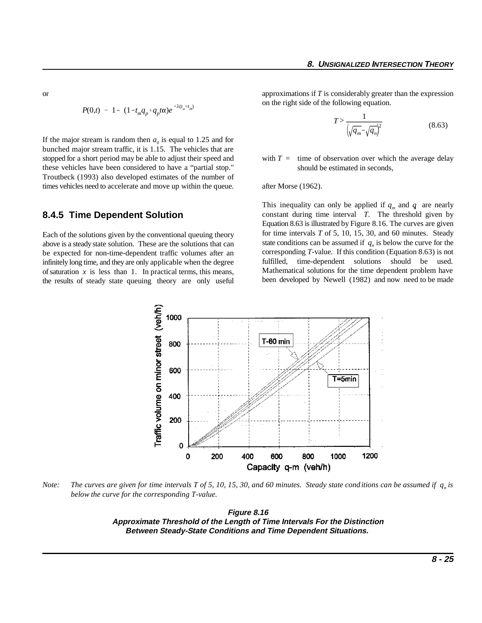or

$$
P(0,t) = 1 - (1 - t_m q_p + q_p t\alpha)e^{-\lambda(t_a - t_m)}
$$

If the major stream is random then  $a_0$  is equal to 1.25 and for bunched major stream traffic, it is 1.15. The vehicles that are stopped for a short period may be able to adjust their speed and these vehicles have been considered to have a "partial stop." Troutbeck (1993) also developed estimates of the number of times vehicles need to accelerate and move up within the queue.

#### **8.4.5 Time Dependent Solution**

Each of the solutions given by the conventional queuing theory above is a steady state solution. These are the solutions that can be expected for non-time-dependent traffic volumes after an infinitely long time, and they are only applicable when the degree of saturation *x* is less than 1. In practical terms, this means, the results of steady state queuing theory are only useful approximations if *T* is considerably greater than the expression on the right side of the following equation.

$$
T > \frac{1}{\left(\sqrt{q_m} - \sqrt{q_n}\right)^2} \tag{8.63}
$$

with  $T =$  time of observation over which the average delay should be estimated in seconds,

after Morse (1962).

This inequality can only be applied if  $q_m$  and  $q$  are nearly constant during time interval *T*. The threshold given by Equation 8.63 is illustrated by Figure 8.16. The curves are given for time intervals *T* of 5, 10, 15, 30, and 60 minutes. Steady state conditions can be assumed if  $q_n$  is below the curve for the corresponding *T*-value. If this condition (Equation 8.63) is not fulfilled, time-dependent solutions should be used. Mathematical solutions for the time dependent problem have been developed by Newell (1982) and now need to be made



*Note:* The curves are given for time intervals T of 5, 10, 15, 30, and 60 minutes. Steady state conditions can be assumed if  $q<sub>n</sub>$  is *below the curve for the corresponding T-value.*

**Figure 8.16 Approximate Threshold of the Length of Time Intervals For the Distinction Between Steady-State Conditions and Time Dependent Situations.**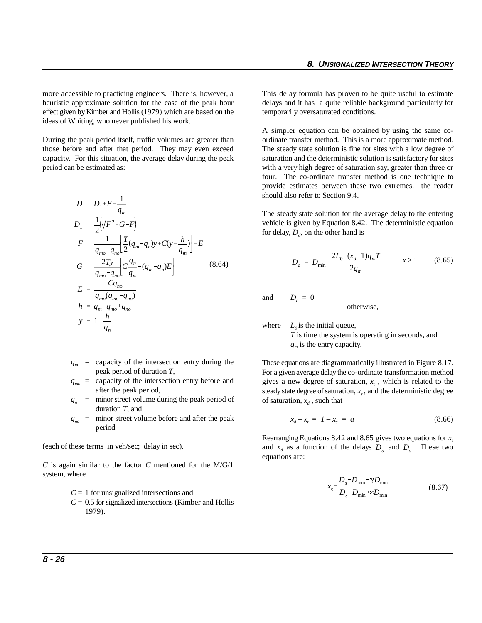heuristic approximate solution for the case of the peak hour delays and it has a quite reliable background particularly for effect given by Kimber and Hollis (1979) which are based on the temporarily oversaturated conditions. ideas of Whiting, who never published his work.

those before and after that period. They may even exceed The steady state solution is fine for sites with a low degree of capacity. For this situation, the average delay during the peak saturation and the deterministic solution is satisfactory for sites period can be estimated as: with a very high degree of saturation say, greater than three or

$$
D = D_1 + E + \frac{1}{q_m}
$$
  
\n
$$
D_1 = \frac{1}{2} (\sqrt{F^2 + G} - F)
$$
  
\n
$$
F = \frac{1}{q_{m0} - q_{n0}} \left[ \frac{T}{2} (q_m - q_n) y + C (y + \frac{h}{q_m}) \right] + E
$$
  
\n
$$
G = \frac{2Ty}{q_{m0} - q_{n0}} \left[ C \frac{q_n}{q_m} - (q_m - q_n) E \right]
$$
  
\n
$$
E = \frac{Cq_{n0}}{q_{m0} (q_{m0} - q_{n0})}
$$
  
\n
$$
h = q_m - q_{m0} + q_{n0}
$$
  
\n
$$
y = 1 - \frac{h}{q_n}
$$
  
\n(8.64)

- $q_m$  = capacity of the intersection entry during the peak period of duration *T*,
- *qmo* = capacity of the intersection entry before and after the peak period,
- $q_n$  = minor street volume during the peak period of duration *T*, and
- $q_{no}$  = minor street volume before and after the peak period

(each of these terms in veh/sec; delay in sec).

*C* is again similar to the factor *C* mentioned for the M/G/1 system, where

- *C* = 1 for unsignalized intersections and
- $C = 0.5$  for signalized intersections (Kimber and Hollis 1979).

more accessible to practicing engineers. There is, however, a This delay formula has proven to be quite useful to estimate

During the peak period itself, traffic volumes are greater than ordinate transfer method. This is a more approximate method. A simpler equation can be obtained by using the same cofour. The co-ordinate transfer method is one technique to provide estimates between these two extremes. the reader should also refer to Section 9.4.

> The steady state solution for the average delay to the entering vehicle is given by Equation 8.42. The deterministic equation for delay,  $D_d$ , on the other hand is

$$
D_d = D_{\min} + \frac{2L_0 + (x_d - 1)q_m T}{2q_m} \qquad x > 1 \qquad (8.65)
$$

and  $D_d = 0$ 

otherwise,

where  $L_0$  is the initial queue, *T* is time the system is operating in seconds, and  $q_m$  is the entry capacity.

These equations are diagrammatically illustrated in Figure 8.17. For a given average delay the co-ordinate transformation method gives a new degree of saturation,  $x_t$ , which is related to the steady state degree of saturation,  $x<sub>s</sub>$ , and the deterministic degree of saturation,  $x_d$ , such that

$$
x_d - x_t = 1 - x_s = a \tag{8.66}
$$

and  $x_d$  as a function of the delays  $D_d$  and  $D_s$ . These two Rearranging Equations 8.42 and 8.65 gives two equations for *xs* equations are:

$$
x_s = \frac{D_s - D_{\min} - \gamma D_{\min}}{D_s - D_{\min} + \varepsilon D_{\min}}\tag{8.67}
$$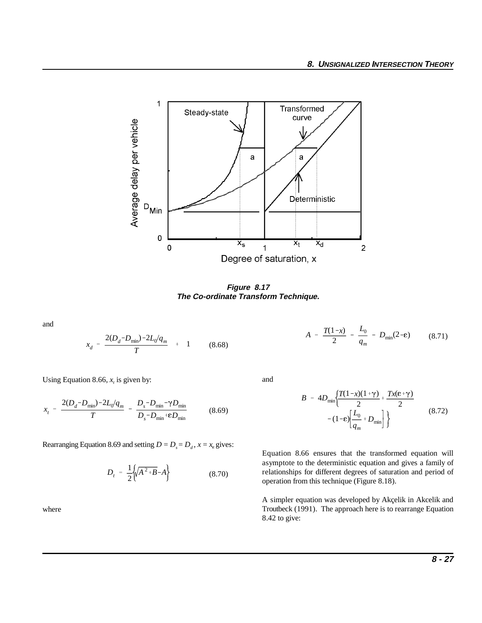

**Figure 8.17 The Co-ordinate Transform Technique.**

and

$$
x_d = \frac{2(D_d - D_{\min}) - 2L_0/q_m}{T} + 1 \qquad (8.68)
$$

Using Equation 8.66,  $x_t$  is given by:

$$
x_{t} = \frac{2(D_{d} - D_{\min}) - 2L_{0}/q_{m}}{T} - \frac{D_{s} - D_{\min} - \gamma D_{\min}}{D_{s} - D_{\min} + \epsilon D_{\min}}
$$
(8.69)

Rearranging Equation 8.69 and setting  $D = D_s = D_d$ ,  $x = x_e$  gives:

$$
D_t = \frac{1}{2} \left\{ \sqrt{A^2 + B} - A \right\} \tag{8.70}
$$

where

$$
A = \frac{T(1-x)}{2} - \frac{L_0}{q_m} - D_{\min}(2-\epsilon) \qquad (8.71)
$$

and

$$
B = 4D_{\min} \left\{ \frac{T(1-x)(1+\gamma)}{2} + \frac{Tx(\epsilon+\gamma)}{2} - (1-\epsilon) \left[ \frac{L_0}{q_m} + D_{\min} \right] \right\}
$$
(8.72)

Equation 8.66 ensures that the transformed equation will asymptote to the deterministic equation and gives a family of relationships for different degrees of saturation and period of operation from this technique (Figure 8.18).

A simpler equation was developed by Akçelik in Akcelik and Troutbeck (1991). The approach here is to rearrange Equation 8.42 to give: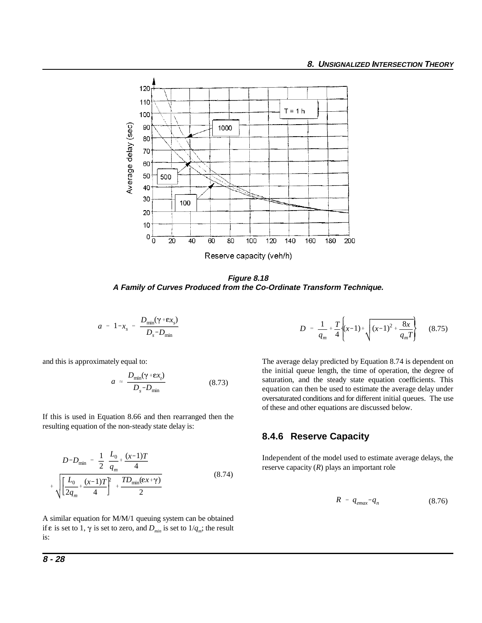

**Figure 8.18 A Family of Curves Produced from the Co-Ordinate Transform Technique.**

$$
a = 1 - x_s = \frac{D_{\min}(\gamma + \varepsilon x_s)}{D_s - D_{\min}}
$$

$$
a \approx \frac{D_{\min}(\gamma + \varepsilon x_i)}{D_s - D_{\min}} \tag{8.73}
$$

If this is used in Equation 8.66 and then rearranged then the resulting equation of the non-steady state delay is:

$$
D-D_{\min} = \frac{1}{2} \frac{L_0}{q_m} + \frac{(x-1)T}{4}
$$
  
+ 
$$
\sqrt{\left[\frac{L_0}{2q_m} + \frac{(x-1)T}{4}\right]^2 + \frac{TD_{\min}(\varepsilon x + \gamma)}{2}}
$$
 (8.74)

A similar equation for M/M/1 queuing system can be obtained if  $\varepsilon$  is set to 1,  $\gamma$  is set to zero, and  $D_{\text{min}}$  is set to  $1/q_m$ ; the result is:

$$
D = \frac{1}{q_m} + \frac{T}{4} \left\{ (x-1)^2 + \frac{8x}{q_m T} \right\} \quad (8.75)
$$

and this is approximately equal to: The average delay predicted by Equation 8.74 is dependent on the initial queue length, the time of operation, the degree of saturation, and the steady state equation coefficients. This equation can then be used to estimate the average delay under oversaturated conditions and for different initial queues. The use of these and other equations are discussed below.

#### **8.4.6 Reserve Capacity**

Independent of the model used to estimate average delays, the reserve capacity (*R*) plays an important role

$$
R = q_{\text{emax}} - q_n \tag{8.76}
$$

 $\overline{+}$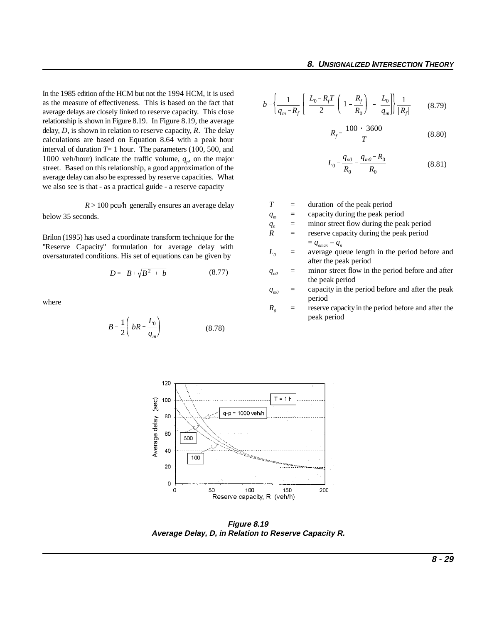In the 1985 edition of the HCM but not the 1994 HCM, it is used as the measure of effectiveness. This is based on the fact that average delays are closely linked to reserve capacity. This close relationship is shown in Figure 8.19. In Figure 8.19, the average delay, *D*, is shown in relation to reserve capacity, *R*. The delay calculations are based on Equation 8.64 with a peak hour interval of duration  $T=1$  hour. The parameters (100, 500, and 1000 veh/hour) indicate the traffic volume,  $q_p$  on the major street. Based on this relationship, a good approximation of the average delay can also be expressed by reserve capacities. What we also see is that - as a practical guide - a reserve capacity

 $R > 100$  pcu/h generally ensures an average delay below 35 seconds.

Brilon (1995) has used a coordinate transform technique for the "Reserve Capacity" formulation for average delay with oversaturated conditions. His set of equations can be given by

$$
D = -B + \sqrt{B^2 + b} \tag{8.77}
$$

where

$$
B = \frac{1}{2} \left( bR - \frac{L_0}{q_m} \right) \tag{8.78}
$$

$$
b = \left\{ \frac{1}{q_m - R_f} \left[ \frac{L_0 - R_f T}{2} \left( 1 - \frac{R_f}{R_0} \right) - \frac{L_0}{q_m} \right] \right\} \frac{1}{|R_f|} \tag{8.79}
$$

$$
R_f = \frac{100 \cdot 3600}{T}
$$
 (8.80)

$$
L_0 = \frac{q_{n0}}{R_0} = \frac{q_{m0} - R_0}{R_0}
$$
 (8.81)

- *T* = duration of the peak period
- $q_m$  = capacity during the peak period
- $q_n$  = minor street flow during the peak period<br>  $R$  = reserve capacity during the peak period
	- reserve capacity during the peak period  $= q_{emax} - q_n$
- $L_0$  = average queue length in the period before and after the peak period
- $q_{n0}$  = minor street flow in the period before and after the peak period
- $q_{m0}$  = capacity in the period before and after the peak period
- $R_0$  = reserve capacity in the period before and after the peak period



**Figure 8.19 Average Delay, D, in Relation to Reserve Capacity R.**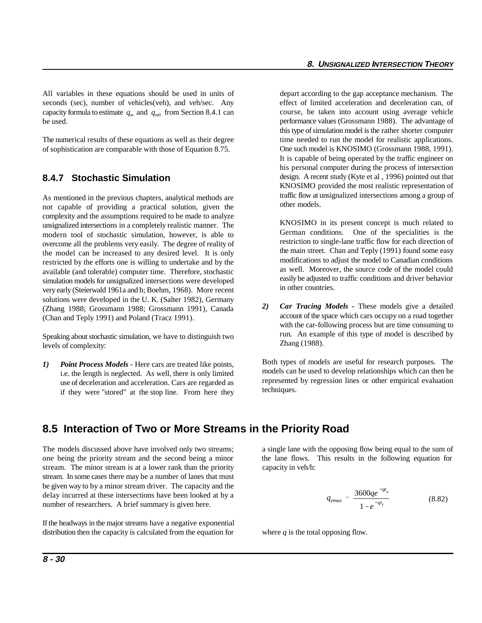All variables in these equations should be used in units of depart according to the gap acceptance mechanism. The seconds (sec), number of vehicles(veh), and veh/sec. Any effect of limited acceleration and deceleration can, of capacity formula to estimate  $q_m$  and  $q_{m0}$  from Section 8.4.1 can be used.

The numerical results of these equations as well as their degree of sophistication are comparable with those of Equation 8.75.

#### **8.4.7 Stochastic Simulation**

As mentioned in the previous chapters, analytical methods are not capable of providing a practical solution, given the complexity and the assumptions required to be made to analyze unsignalized intersections in a completely realistic manner. The modern tool of stochastic simulation, however, is able to overcome all the problems very easily. The degree of reality of the model can be increased to any desired level. It is only restricted by the efforts one is willing to undertake and by the available (and tolerable) computer time. Therefore, stochastic simulation models for unsignalized intersections were developed very early (Steierwald 1961a and b; Boehm, 1968). More recent solutions were developed in the U. K. (Salter 1982), Germany (Zhang 1988; Grossmann 1988; Grossmann 1991), Canada (Chan and Teply 1991) and Poland (Tracz 1991).

Speaking about stochastic simulation, we have to distinguish two levels of complexity:

*1) Point Process Models -* Here cars are treated like points, i.e. the length is neglected. As well, there is only limited use of deceleration and acceleration. Cars are regarded as if they were "stored" at the stop line. From here they course, be taken into account using average vehicle performance values (Grossmann 1988). The advantage of this type of simulation model is the rather shorter computer time needed to run the model for realistic applications. One such model is KNOSIMO (Grossmann 1988, 1991). It is capable of being operated by the traffic engineer on his personal computer during the process of intersection design. A recent study (Kyte et al , 1996) pointed out that KNOSIMO provided the most realistic representation of traffic flow at unsignalized intersections among a group of other models.

KNOSIMO in its present concept is much related to German conditions. One of the specialities is the restriction to single-lane traffic flow for each direction of the main street. Chan and Teply (1991) found some easy modifications to adjust the model to Canadian conditions as well. Moreover, the source code of the model could easily be adjusted to traffic conditions and driver behavior in other countries.

*2) Car Tracing Models -* These models give a detailed account of the space which cars occupy on a road together with the car-following process but are time consuming to run. An example of this type of model is described by Zhang (1988).

Both types of models are useful for research purposes. The models can be used to develop relationships which can then be represented by regression lines or other empirical evaluation techniques.

# **8.5 Interaction of Two or More Streams in the Priority Road**

one being the priority stream and the second being a minor the lane flows. This results in the following equation for stream. The minor stream is at a lower rank than the priority capacity in veh/h: stream. In some cases there may be a number of lanes that must be given way to by a minor stream driver. The capacity and the delay incurred at these intersections have been looked at by a number of researchers. A brief summary is given here.

If the headways in the major streams have a negative exponential distribution then the capacity is calculated from the equation for where *q* is the total opposing flow.

The models discussed above have involved only two streams; a single lane with the opposing flow being equal to the sum of

$$
q_{emax} = \frac{3600qe^{-qt_a}}{1 - e^{-qt_f}}
$$
 (8.82)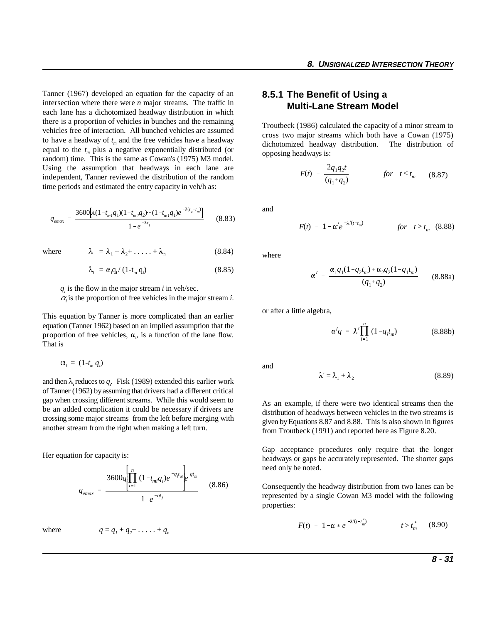Tanner (1967) developed an equation for the capacity of an intersection where there were *n* major streams. The traffic in each lane has a dichotomized headway distribution in which there is a proportion of vehicles in bunches and the remaining vehicles free of interaction. All bunched vehicles are assumed to have a headway of  $t_m$  and the free vehicles have a headway equal to the  $t_m$  plus a negative exponentially distributed (or random) time. This is the same as Cowan's (1975) M3 model. Using the assumption that headways in each lane are independent, Tanner reviewed the distribution of the random time periods and estimated the entry capacity in veh/h as:

$$
q_{emax} = \frac{3600 \left[ \lambda (1 - t_{m1} q_1)(1 - t_{m2} q_2) \cdots (1 - t_{m1} q_1) e^{-\lambda (t_a - t_m)} \right]}{1 - e^{-\lambda t_f}}
$$
(8.83)

where  $\lambda = \lambda_1 + \lambda_2 + \ldots + \lambda_n$  (8.84)

$$
\mathcal{L}^{\mathcal{L}}(\mathcal{L}^{\mathcal{L}}(\mathcal{L}^{\mathcal{L}}(\mathcal{L}^{\mathcal{L}}(\mathcal{L}^{\mathcal{L}}(\mathcal{L}^{\mathcal{L}}(\mathcal{L}^{\mathcal{L}}(\mathcal{L}^{\mathcal{L}}(\mathcal{L}^{\mathcal{L}}(\mathcal{L}^{\mathcal{L}}(\mathcal{L}^{\mathcal{L}}(\mathcal{L}^{\mathcal{L}}(\mathcal{L}^{\mathcal{L}}(\mathcal{L}^{\mathcal{L}}(\mathcal{L}^{\mathcal{L}}(\mathcal{L}^{\mathcal{L}}(\mathcal{L}^{\mathcal{L}}(\mathcal{L}^{\mathcal{L}}(\mathcal{L}^{\mathcal{L}}(\mathcal{L}^{\mathcal{L}}(\mathcal{L}^{\mathcal{L}}(\mathcal{L}^{\mathcal{L}}(\mathcal{L}^{\mathcal{L}}(\mathcal{L}^{\mathcal{L}}(\mathcal{L}^{\mathcal{L}}(\mathcal{L}^{\mathcal{L}}(\mathcal{L}^{\mathcal{L}}(\mathcal{L}^{\mathcal{L}}(\mathcal{L}^{\mathcal{L}}(\mathcal{L}^{\mathcal{L}}(\mathcal{L}^{\mathcal{L}}(\mathcal{L}^{\mathcal{L}}(\mathcal{L}^{\mathcal{L}}(\mathcal{L}^{\mathcal{L}}(\mathcal{L}^{\mathcal{L}}(\mathcal{L}^{\mathcal{L}}(\mathcal{L}^{\mathcal{L}}(\mathcal{L}^{\mathcal{L}}(\mathcal{L}^{\mathcal{L}}(\mathcal{L}^{\mathcal{L}}(\mathcal{L}^{\mathcal{L}}(\mathcal{L}^{\mathcal{L}}(\mathcal{L}^{\mathcal{L}}(\mathcal{L}^{\mathcal{L}}(\mathcal{L}^{\mathcal{L}}(\mathcal{L}^{\mathcal{L}}(\mathcal{L}^{\mathcal{L}}(\mathcal{L}^{\mathcal{L}}(\mathcal{L}^{\mathcal{L}}(\mathcal{L}^{\mathcal{L}}(\mathcal{L}^{\mathcal{L}}(\mathcal{L}^{\mathcal{L}}(\mathcal{L}^{\mathcal{L}}(\mathcal{L}^{\mathcal{L}}(\mathcal{L}^{\mathcal{L}}(\mathcal{L}^{\mathcal{L}}(\mathcal{L}^{\mathcal{L}}(\mathcal{L}^{\mathcal{L}}(\mathcal{L}
$$

$$
\lambda_{i} = \alpha_{i} q_{i} / (1 - t_{m} q_{i}) \qquad (8.85)
$$

 $q_i$  is the flow in the major stream *i* in veh/sec.

 $\alpha$  is the proportion of free vehicles in the major stream *i*.

This equation by Tanner is more complicated than an earlier equation (Tanner 1962) based on an implied assumption that the proportion of free vehicles,  $\alpha_i$ , is a function of the lane flow. That is

$$
\alpha_{i} = (1-t_{m} q_{i})
$$

and then  $\lambda_i$  reduces to  $q_i$ . Fisk (1989) extended this earlier work of Tanner (1962) by assuming that drivers had a different critical gap when crossing different streams. While this would seem to be an added complication it could be necessary if drivers are crossing some major streams from the left before merging with another stream from the right when making a left turn.

Her equation for capacity is:

$$
q_{emax} = \frac{3600q \left[ \prod_{i=1}^{n} (1 - t_{mi} q_i) e^{-q_t t_{ai}} \right] e^{qt_m}}{1 - e^{-qt_f}}
$$
(8.86)

where  $q = q_i$ 

$$
+q_2+\ldots+q_n
$$

### **8.5.1 The Benefit of Using a Multi-Lane Stream Model**

Troutbeck (1986) calculated the capacity of a minor stream to cross two major streams which both have a Cowan (1975) dichotomized headway distribution. The distribution of opposing headways is:

$$
F(t) = \frac{2q_1q_2t}{(q_1+q_2)} \qquad \qquad \text{for} \quad t < t_m \qquad (8.87)
$$

and

$$
F(t) = 1 - \alpha' e^{-\lambda'(t - t_m)}
$$
 for  $t > t_m$  (8.88)

where

$$
\alpha' = \frac{\alpha_1 q_1 (1 - q_2 t_m) + \alpha_2 q_2 (1 - q_1 t_m)}{(q_1 + q_2)}
$$
(8.88a)

or after a little algebra,

$$
\alpha'q = \lambda' \prod_{i=1}^{n} (1 - q_i t_m)
$$
 (8.88b)

and

$$
\lambda' = \lambda_1 + \lambda_2 \tag{8.89}
$$

As an example, if there were two identical streams then the distribution of headways between vehicles in the two streams is given by Equations 8.87 and 8.88. This is also shown in figures from Troutbeck (1991) and reported here as Figure 8.20.

Gap acceptance procedures only require that the longer headways or gaps be accurately represented. The shorter gaps need only be noted.

Consequently the headway distribution from two lanes can be represented by a single Cowan M3 model with the following properties:

$$
F(t) = 1 - \alpha * e^{-\lambda'(t - t_m^*)} \qquad t > t_m^* \qquad (8.90)
$$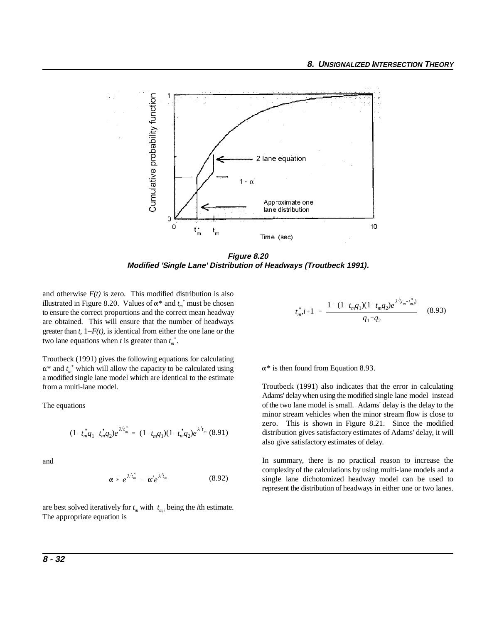

**Figure 8.20 Modified 'Single Lane' Distribution of Headways (Troutbeck 1991).**

and otherwise  $F(t)$  is zero. This modified distribution is also illustrated in Figure 8.20. Values of  $\alpha^*$  and  $t_m^*$  must be chosen to ensure the correct proportions and the correct mean headway are obtained. This will ensure that the number of headways greater than *t*, 1–*F(t)*, is identical from either the one lane or the two lane equations when *t* is greater than  $t_m^*$ .

Troutbeck (1991) gives the following equations for calculating  $\alpha^*$  and  $t_m^*$  which will allow the capacity to be calculated using a modified single lane model which are identical to the estimate from a multi-lane model.

The equations

$$
(1-t_m^*q_1-t_m^*q_2)e^{\lambda' t_m^*} = (1-t_mq_1)(1-t_m^*q_2)e^{\lambda' t_m} (8.91)
$$

and

$$
\alpha * e^{\lambda' t_m^*} = \alpha' e^{\lambda' t_m} \tag{8.92}
$$

are best solved iteratively for  $t_m$  with  $t_m$ , being the *i*th estimate. The appropriate equation is

$$
t_{m}^{*}, i+1 = \frac{1 - (1 - t_{m} q_{1})(1 - t_{m} q_{2}) e^{\lambda' (t_{m} - t_{m}^{*})}}{q_{1} + q_{2}} \qquad (8.93)
$$

 $\alpha^*$  is then found from Equation 8.93.

Troutbeck (1991) also indicates that the error in calculating Adams' delay when using the modified single lane model instead of the two lane model is small. Adams' delay is the delay to the minor stream vehicles when the minor stream flow is close to zero. This is shown in Figure 8.21. Since the modified distribution gives satisfactory estimates of Adams' delay, it will also give satisfactory estimates of delay.

In summary, there is no practical reason to increase the complexity of the calculations by using multi-lane models and a single lane dichotomized headway model can be used to represent the distribution of headways in either one or two lanes.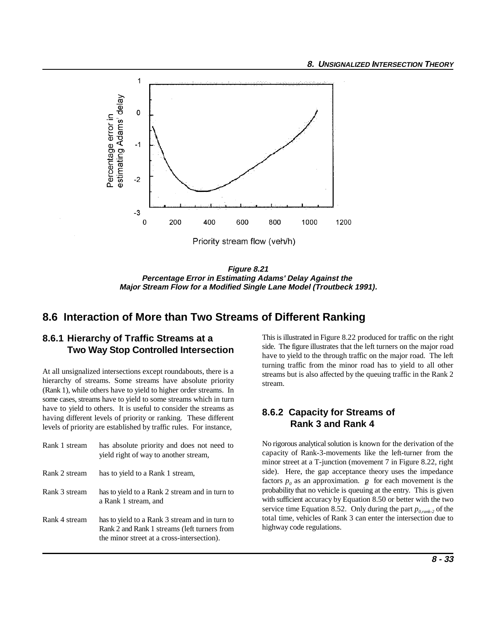

**Figure 8.21 Percentage Error in Estimating Adams' Delay Against the Major Stream Flow for a Modified Single Lane Model (Troutbeck 1991).**

# **8.6 Interaction of More than Two Streams of Different Ranking**

# **8.6.1 Hierarchy of Traffic Streams at a Two Way Stop Controlled Intersection**

At all unsignalized intersections except roundabouts, there is a hierarchy of streams. Some streams have absolute priority (Rank 1), while others have to yield to higher order streams. In some cases, streams have to yield to some streams which in turn have to yield to others. It is useful to consider the streams as having different levels of priority or ranking. These different levels of priority are established by traffic rules. For instance,

| Rank 1 stream | has absolute priority and does not need to<br>yield right of way to another stream,                                                          |
|---------------|----------------------------------------------------------------------------------------------------------------------------------------------|
| Rank 2 stream | has to yield to a Rank 1 stream,                                                                                                             |
| Rank 3 stream | has to yield to a Rank 2 stream and in turn to<br>a Rank 1 stream, and                                                                       |
| Rank 4 stream | has to yield to a Rank 3 stream and in turn to<br>Rank 2 and Rank 1 streams (left turners from<br>the minor street at a cross-intersection). |

This is illustrated in Figure 8.22 produced for traffic on the right side. The figure illustrates that the left turners on the major road have to yield to the through traffic on the major road. The left turning traffic from the minor road has to yield to all other streams but is also affected by the queuing traffic in the Rank 2 stream.

## **8.6.2 Capacity for Streams of Rank 3 and Rank 4**

No rigorous analytical solution is known for the derivation of the capacity of Rank-3-movements like the left-turner from the minor street at a T-junction (movement 7 in Figure 8.22, right side). Here, the gap acceptance theory uses the impedance factors  $p_0$  as an approximation.  $p_0$  for each movement is the probability that no vehicle is queuing at the entry. This is given with sufficient accuracy by Equation 8.50 or better with the two service time Equation 8.52. Only during the part  $p_{0,rank-2}$  of the total time, vehicles of Rank 3 can enter the intersection due to highway code regulations.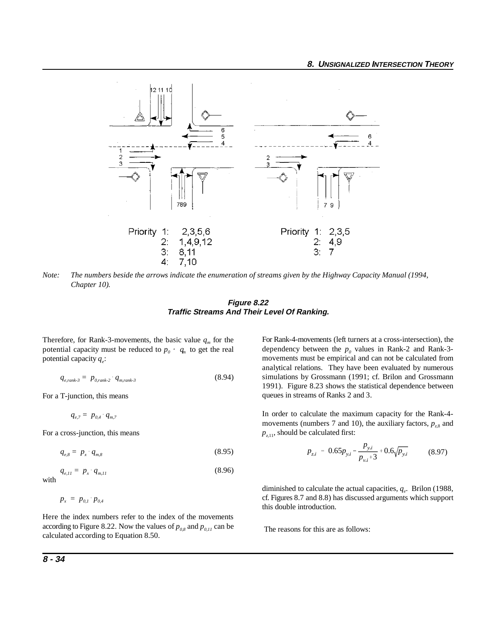

*Note: The numbers beside the arrows indicate the enumeration of streams given by the Highway Capacity Manual (1994, Chapter 10).*

**Figure 8.22 Traffic Streams And Their Level Of Ranking.**

Therefore, for Rank-3-movements, the basic value  $q_m$  for the potential capacity must be reduced to  $p_0 \cdot q_n$  to get the real potential capacity  $q_e$ :

$$
q_{e, rank-3} = p_{0, rank-2} \cdot q_{m, rank-3} \tag{8.94}
$$

For a T-junction, this means

 $q_{e,7} = p_{0,4} \cdot q_{m,7}$ 

For a cross-junction, this means

$$
q_{e,8} = p_x \cdot q_{m,8} \tag{8.95}
$$

$$
q_{e,II} = p_x \cdot q_{m,II} \tag{8.96}
$$
 with

 $p_x = p_{0,1} \cdot p_{0,4}$ 

Here the index numbers refer to the index of the movements according to Figure 8.22. Now the values of  $p_{0.8}$  and  $p_{0.11}$  can be calculated according to Equation 8.50.

For Rank-4-movements (left turners at a cross-intersection), the dependency between the  $p_0$  values in Rank-2 and Rank-3movements must be empirical and can not be calculated from analytical relations. They have been evaluated by numerous simulations by Grossmann (1991; cf. Brilon and Grossmann 1991). Figure 8.23 shows the statistical dependence between queues in streams of Ranks 2 and 3.

In order to calculate the maximum capacity for the Rank-4 movements (numbers 7 and 10), the auxiliary factors,  $p_{z8}$  and  $p_{z,11}$ , should be calculated first:

$$
p_{z,i} = 0.65 p_{y,i} - \frac{p_{y,i}}{p_{y,i} + 3} + 0.6 \sqrt{p_{y,i}} \tag{8.97}
$$

diminished to calculate the actual capacities,  $q_e$ . Brilon (1988, cf. Figures 8.7 and 8.8) has discussed arguments which support this double introduction.

The reasons for this are as follows: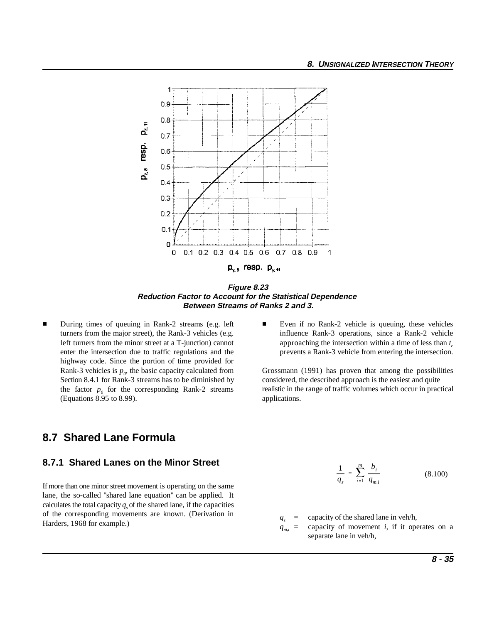

**Figure 8.23 Reduction Factor to Account for the Statistical Dependence Between Streams of Ranks 2 and 3.**

 $\blacksquare$ left turners from the minor street at a T-junction) cannot enter the intersection due to traffic regulations and the highway code. Since the portion of time provided for Section 8.4.1 for Rank-3 streams has to be diminished by the factor  $p_0$  for the corresponding Rank-2 streams (Equations 8.95 to 8.99).

# **8.7 Shared Lane Formula**

#### **8.7.1 Shared Lanes on the Minor Street**

If more than one minor street movement is operating on the same lane, the so-called "shared lane equation" can be applied. It calculates the total capacity  $q<sub>s</sub>$  of the shared lane, if the capacities of the corresponding movements are known. (Derivation in  $q_s = \text{capacity of the shared lane in veh/h,}$  Harders, 1968 for example.)

During times of queuing in Rank-2 streams (e.g. left Even if no Rank-2 vehicle is queuing, these vehicles turners from the major street), the Rank-3 vehicles (e.g. influence Rank-3 operations, since a Rank-2 vehicle approaching the intersection within a time of less than  $t<sub>c</sub>$ prevents a Rank-3 vehicle from entering the intersection.

Rank-3 vehicles is  $p_0$ , the basic capacity calculated from Grossmann (1991) has proven that among the possibilities *Section 8.4.1 for Rank-3 streams has to be diminished by* considered, the described approach is the ea realistic in the range of traffic volumes which occur in practical applications.

$$
\frac{1}{q_s} = \sum_{i=1}^{m} \frac{b_i}{q_{m,i}} \tag{8.100}
$$

 $q_{mi}$  = capacity of movement *i*, if it operates on a separate lane in veh/h,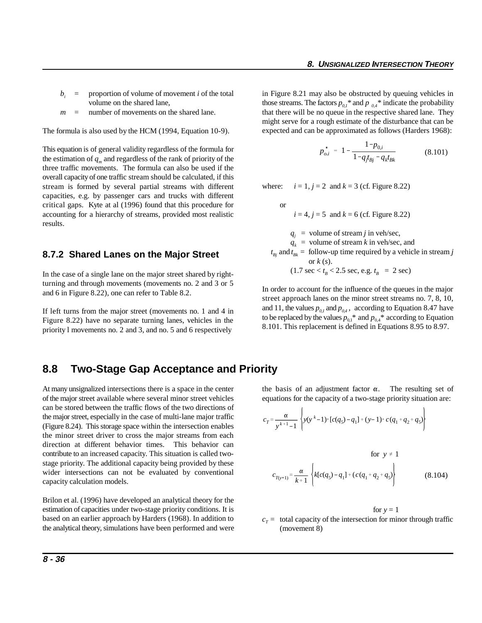- $b_i$  = proportion of volume of movement *i* of the total volume on the shared lane,
- *m* = number of movements on the shared lane.

The formula is also used by the HCM (1994, Equation 10-9).

This equation is of general validity regardless of the formula for the estimation of  $q_m$  and regardless of the rank of priority of the three traffic movements. The formula can also be used if the overall capacity of one traffic stream should be calculated, if this stream is formed by several partial streams with different capacities, e.g. by passenger cars and trucks with different critical gaps. Kyte at al (1996) found that this procedure for accounting for a hierarchy of streams, provided most realistic  $i = 4$ ,  $j = 5$  and  $k = 6$  (cf. Figure 8.22) results.

#### **8.7.2 Shared Lanes on the Major Street**

In the case of a single lane on the major street shared by rightturning and through movements (movements no. 2 and 3 or 5 and 6 in Figure 8.22), one can refer to Table 8.2.

If left turns from the major street (movements no. 1 and 4 in Figure 8.22) have no separate turning lanes, vehicles in the priority l movements no. 2 and 3, and no. 5 and 6 respectively

volume on the shared lane, those streams. The factors  $p_{0,l}$ <sup>\*</sup> and  $p_{0,l}$ <sup>\*</sup> indicate the probability in Figure 8.21 may also be obstructed by queuing vehicles in that there will be no queue in the respective shared lane. They might serve for a rough estimate of the disturbance that can be expected and can be approximated as follows (Harders 1968):

$$
p_{o,i}^* = 1 - \frac{1 - p_{0,i}}{1 - q_{f_{Bj}} - q_k t_{Bk}}
$$
(8.101)

where:  $i = 1, j = 2$  and  $k = 3$  (cf. Figure 8.22)

or

 $q_i$  = volume of stream *j* in veh/sec,

 $q_k$  = volume of stream *k* in veh/sec, and

 $t_{Bi}$  and  $t_{Bk}$  = follow-up time required by a vehicle in stream *j*  or *k* (*s*).  $(1.7 \text{ sec} < t_B < 2.5 \text{ sec}, \text{ e.g. } t_B = 2 \text{ sec})$ 

In order to account for the influence of the queues in the major street approach lanes on the minor street streams no. 7, 8, 10, and 11, the values  $p_{01}$  and  $p_{04}$ , according to Equation 8.47 have to be replaced by the values  $p_{0,1}^*$  and  $p_{0,4}^*$  according to Equation 8.101. This replacement is defined in Equations 8.95 to 8.97.

### **8.8 Two-Stage Gap Acceptance and Priority**

of the major street available where several minor street vehicles<br>can be stored between the traffic flows of the two directions of<br>the major street, especially in the case of multi-lane major traffic<br> $c_T = \frac{\alpha}{k+1} \left\{ y(y^k$ can be stored between the traffic flows of the two directions of the major street, especially in the case of multi-lane major traffic (Figure 8.24). This storage space within the intersection enables the minor street driver to cross the major streams from each direction at different behavior times. This behavior can contribute to an increased capacity. This situation is called twostage priority. The additional capacity being provided by these wider intersections can not be evaluated by conventional capacity calculation models.

Brilon et al. (1996) have developed an analytical theory for the estimation of capacities under two-stage priority conditions. It is based on an earlier approach by Harders (1968). In addition to the analytical theory, simulations have been performed and were

At many unsignalized intersections there is a space in the center the basis of an adjustment factor  $\alpha$ . The resulting set of

$$
c_{T} = \frac{\alpha}{y^{k+1} - 1} \left\{ y(y^{k} - 1) \cdot [c(q_{5}) - q_{1}] + (y - 1) \cdot c(q_{1} + q_{2} + q_{5}) \right\}
$$
  
for  $y \neq 1$   

$$
c_{T(y-1)} = \frac{\alpha}{k+1} \left\{ k[c(q_{5}) - q_{1}] + (c(q_{1} + q_{2} + q_{5}) \right\}
$$
(8.104)

$$
for y = 1
$$

(8.104)

 $c<sub>T</sub>$  = total capacity of the intersection for minor through traffic (movement 8)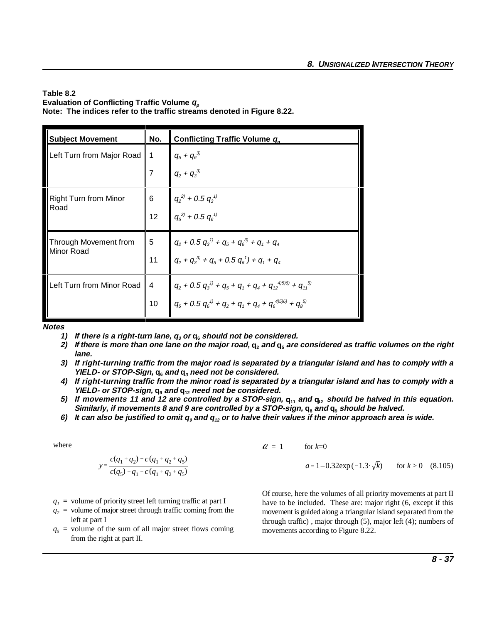#### **Table 8.2** Evaluation of Conflicting Traffic Volume  $q_p$ **Note: The indices refer to the traffic streams denoted in Figure 8.22.**

| <b>Subject Movement</b>      | No.             | Conflicting Traffic Volume q <sub>p</sub>                                                                    |
|------------------------------|-----------------|--------------------------------------------------------------------------------------------------------------|
| Left Turn from Major Road    | 1               | $q_5 + q_6^{3)}$                                                                                             |
|                              | 7               | $q_2 + q_3^{3}$                                                                                              |
| <b>Right Turn from Minor</b> | 6               |                                                                                                              |
| Road                         | 12 <sup>2</sup> | $q_2^{2)}$ + 0.5 $q_3^{1}$<br>$q_5^{2)}$ + 0.5 $q_6^{1}$                                                     |
| Through Movement from        | 5               | $q_2$ + 0.5 $q_3^{\prime\prime}$ + $q_5$ + $q_6^{\prime\prime}$ + $q_1$ + $q_4$                              |
| Minor Road                   | 11              | $q_2 + q_3^{3} + q_5 + 0.5 q_6^{1} + q_1 + q_4$                                                              |
| Left Turn from Minor Road    | $\overline{4}$  | $q_2$ + 0.5 $q_3^{\prime\prime}$ + $q_5$ + $q_1$ + $q_4$ + $q_{12}^{\prime\prime}$ + $q_{11}^{\prime\prime}$ |
|                              | 10              | $q_5 + 0.5 q_6^{1} + q_2 + q_1 + q_4 + q_6^{4(5)} + q_8^{5(5)}$                                              |

**Notes**

- **1)** If there is a right-turn lane,  $q_3$  or  $q_6$  should not be considered.
- **2)** If there is more than one lane on the major road,  $q_2$  and  $q_5$  are considered as traffic volumes on the right **lane.**
- **3) If right-turning traffic from the major road is separated by a triangular island and has to comply with a** YIELD- or STOP-Sign,  $q_6$  and  $q_3$  need not be considered.
- **4) If right-turning traffic from the minor road is separated by a triangular island and has to comply with a YIELD- or STOP-sign, q and q need not be considered. 9 12**
- **5)** If movements 11 and 12 are controlled by a STOP-sign,  $q_{11}$  and  $q_{12}$  should be halved in this equation. Similarly, if movements 8 and 9 are controlled by a STOP-sign,  $q_s$  and  $q_s$  should be halved.
- **6) It can also be justified to omit q and q or to halve their values if the minor approach area is wide. <sup>9</sup> <sup>12</sup>**

where

$$
y = \frac{c(q_1 + q_2) - c(q_1 + q_2 + q_5)}{c(q_5) - q_1 - c(q_1 + q_2 + q_5)} \qquad a =
$$

- $q_l$  = volume of priority street left turning traffic at part I
- $q_2$  = volume of major street through traffic coming from the left at part I
- $q_5$  = volume of the sum of all major street flows coming from the right at part II.

$$
\alpha = 1 \qquad \text{for } k=0
$$

 $a = 1 - 0.32 \exp(-1.3 \cdot \sqrt{k})$ for  $k > 0$  (8.105)

Of course, here the volumes of all priority movements at part II have to be included. These are: major right (6, except if this movement is guided along a triangular island separated from the through traffic) , major through (5), major left (4); numbers of movements according to Figure 8.22.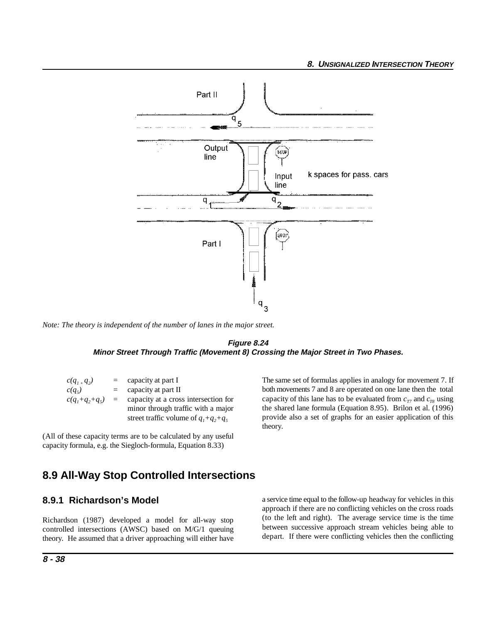

*Note: The theory is independent of the number of lanes in the major street.*



| $c(q_{1+}q_{2})$ | $=$ | capacity at part I                     |
|------------------|-----|----------------------------------------|
| $c(q_5)$         | $=$ | capacity at part II                    |
| $c(q_1+q_2+q_5)$ | $=$ | capacity at a cross intersection for   |
|                  |     | minor through traffic with a major     |
|                  |     | street traffic volume of $q_1+q_2+q_5$ |

(All of these capacity terms are to be calculated by any useful capacity formula, e.g. the Siegloch-formula, Equation 8.33)

The same set of formulas applies in analogy for movement 7. If both movements 7 and 8 are operated on one lane then the total capacity of this lane has to be evaluated from  $c_{77}$  and  $c_{78}$  using the shared lane formula (Equation 8.95). Brilon et al. (1996) provide also a set of graphs for an easier application of this theory.

# **8.9 All-Way Stop Controlled Intersections**

#### **8.9.1 Richardson's Model**

Richardson (1987) developed a model for all-way stop controlled intersections (AWSC) based on M/G/1 queuing theory. He assumed that a driver approaching will either have a service time equal to the follow-up headway for vehicles in this approach if there are no conflicting vehicles on the cross roads (to the left and right). The average service time is the time between successive approach stream vehicles being able to depart. If there were conflicting vehicles then the conflicting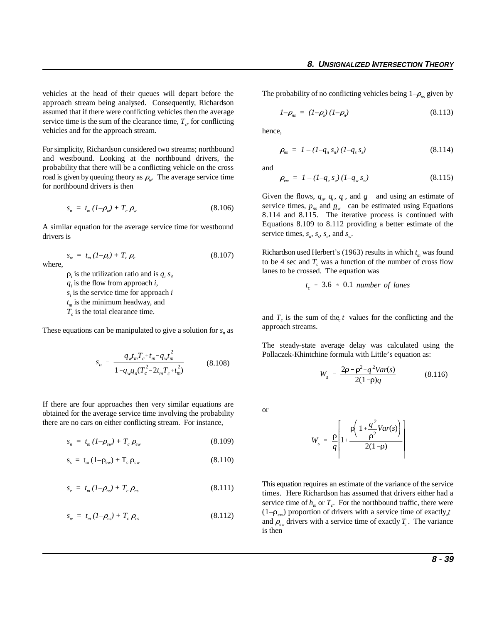vehicles at the head of their queues will depart before the approach stream being analysed. Consequently, Richardson assumed that if there were conflicting vehicles then the average service time is the sum of the clearance time,  $T_c$ , for conflicting vehicles and for the approach stream.

For simplicity, Richardson considered two streams; northbound and westbound. Looking at the northbound drivers, the probability that there will be a conflicting vehicle on the cross road is given by queuing theory as  $\rho_{\omega}$ . The average service time for northbound drivers is then

$$
s_n = t_m (1 - \rho_w) + T_c \rho_w \tag{8.106}
$$

 $s_w = t_m (1 - \rho_e) + T_c \rho_e$  (8.107)

A similar equation for the average service time for westbound drivers is

where,

 $\rho_i$  is the utilization ratio and is  $q_i$ ,  $s_i$ ,

 $q_i$  is the flow from approach *i*,

 $s_i$  is the service time for approach  $i$ 

 $t_m$  is the minimum headway, and

 $T_c$  is the total clearance time.

These equations can be manipulated to give a solution for  $s_n$  as

$$
s_n = \frac{q_w t_m T_c^{-1} t_m - q_w t_m^2}{1 - q_w q_n (T_c^2 - 2t_m T_c^{-1} t_m^2)}
$$
(8.108)

If there are four approaches then very similar equations are obtained for the average service time involving the probability there are no cars on either conflicting stream. For instance,

$$
s_n = t_m (1 - \rho_{ew}) + T_c \rho_{ew}
$$
 (8.109)

$$
s_{s} = t_{m} (1 - \rho_{ew}) + T_{c} \rho_{ew}
$$
 (8.110)

$$
s_e = t_m (1 - \rho_{ns}) + T_c \rho_{ns}
$$
\n(8.111)

$$
s_w = t_m (1 - \rho_{ns}) + T_c \rho_{ns}
$$
\n
$$
(8.112)
$$

The probability of no conflicting vehicles being  $1-\rho_{ns}$  given by

$$
1-\rho_{ns} = (1-\rho_s)(1-\rho_n) \tag{8.113}
$$

hence,

$$
\rho_{ns} = I - (I - q_n s_n) (I - q_s s_s) \tag{8.114}
$$

and

$$
\rho_{ew} = I - (I - q_e s_e) (I - q_w s_w) \tag{8.115}
$$

Given the flows,  $q_n$ ,  $q_s$ ,  $q_s$ , and  $q$  and using an estimate of service times,  $p_{ns}$  and  $p_{ew}$  can be estimated using Equations 8.114 and 8.115. The iterative process is continued with Equations 8.109 to 8.112 providing a better estimate of the service times,  $s_n$ ,  $s_s$ ,  $s_e$ , and  $s_w$ .

Richardson used Herbert's (1963) results in which  $t_m$  was found to be 4 sec and  $T_c$  was a function of the number of cross flow lanes to be crossed. The equation was

$$
t_c = 3.6 * 0.1 \text{ number of lanes}
$$

and  $T_c$  is the sum of the *t* values for the conflicting and the approach streams.

The steady-state average delay was calculated using the Pollaczek-Khintchine formula with Little's equation as:

$$
W_s = \frac{2\rho - \rho^2 + q^2Var(s)}{2(1-\rho)q}
$$
 (8.116)

or

$$
W_s = \frac{\rho}{q} \left[ 1 + \frac{\rho \left( 1 + \frac{q^2}{\rho^2}Var(s) \right)}{2(1-\rho)} \right]
$$

This equation requires an estimate of the variance of the service times. Here Richardson has assumed that drivers either had a service time of  $h_m$  or  $T_c$ . For the northbound traffic, there were  $(1-\rho_{ew})$  proportion of drivers with a service time of exactly *t* and  $\rho_{ew}$  drivers with a service time of exactly  $T_c$ . The variance is then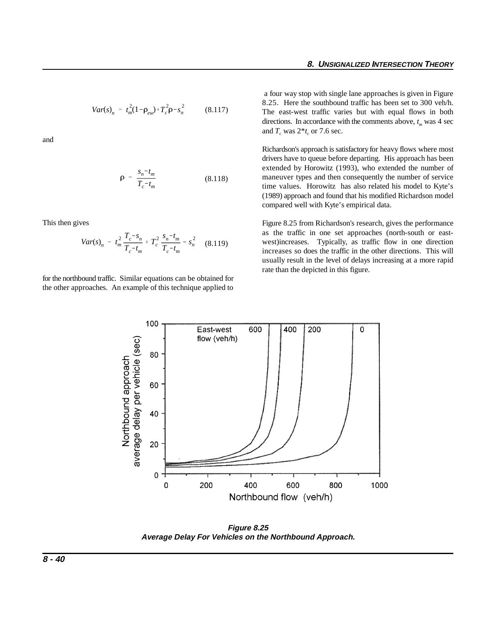$$
Var(s)_n = t_m^2 (1 - \rho_{ew}) + T_c^2 \rho - s_n^2 \tag{8.117}
$$

and

$$
\rho = \frac{s_n - t_m}{T_c - t_m}
$$
 (8.118)

This then gives

$$
Var(s)_n = t_m^2 \frac{T_c - s_n}{T_c - t_m} + T_c^2 \frac{s_n - t_m}{T_c - t_m} - s_n^2 \quad (8.119)
$$

for the northbound traffic. Similar equations can be obtained for the other approaches. An example of this technique applied to

 a four way stop with single lane approaches is given in Figure 8.25. Here the southbound traffic has been set to 300 veh/h. The east-west traffic varies but with equal flows in both directions. In accordance with the comments above,  $t<sub>m</sub>$  was 4 sec and  $T_a$  was  $2*t_a$  or 7.6 sec.

Richardson's approach is satisfactory for heavy flows where most drivers have to queue before departing. His approach has been extended by Horowitz (1993), who extended the number of maneuver types and then consequently the number of service time values. Horowitz has also related his model to Kyte's (1989) approach and found that his modified Richardson model compared well with Kyte's empirical data.

Figure 8.25 from Richardson's research, gives the performance as the traffic in one set approaches (north-south or eastwest)increases. Typically, as traffic flow in one direction increases so does the traffic in the other directions. This will usually result in the level of delays increasing at a more rapid rate than the depicted in this figure.



**Figure 8.25 Average Delay For Vehicles on the Northbound Approach.**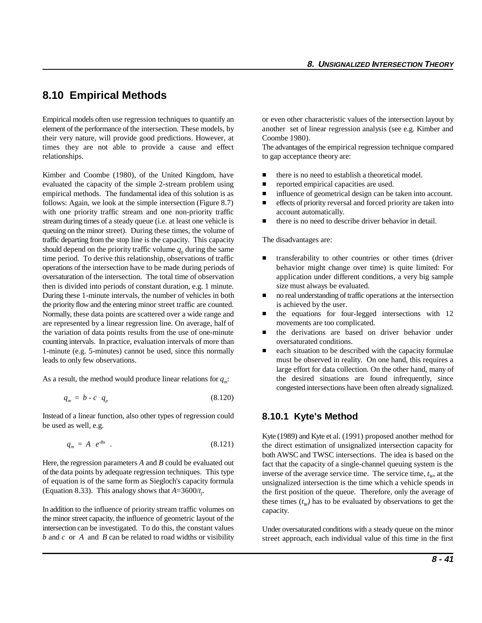# **8.10 Empirical Methods**

Empirical models often use regression techniques to quantify an or even other characteristic values of the intersection layout by element of the performance of the intersection. These models, by another set of linear regression analysis (see e.g. Kimber and their very nature, will provide good predictions. However, at Coombe 1980). times they are not able to provide a cause and effect The advantages of the empirical regression technique compared relationships. to gap acceptance theory are:

Kimber and Coombe (1980), of the United Kingdom, have **there is no need to establish a theoretical model.** evaluated the capacity of the simple 2-stream problem using **reported empirical capacities are used.** empirical methods. The fundamental idea of this solution is as **influence of geometrical design can be taken into account.** follows: Again, we look at the simple intersection (Figure 8.7) **e** effects of priority reversal and forced priority are taken into with one priority traffic stream and one non-priority traffic account automatically. stream during times of a steady queue (i.e. at least one vehicle is **there** is no need to describe driver behavior in detail. queuing on the minor street). During these times, the volume of traffic departing from the stop line is the capacity. This capacity The disadvantages are: should depend on the priority traffic volume  $q_{\text{p}}$  during the same time period. To derive this relationship, observations of traffic operations of the intersection have to be made during periods of oversaturation of the intersection. The total time of observation then is divided into periods of constant duration, e.g. 1 minute. During these 1-minute intervals, the number of vehicles in both the priority flow and the entering minor street traffic are counted. Normally, these data points are scattered over a wide range and are represented by a linear regression line. On average, half of the variation of data points results from the use of one-minute counting intervals. In practice, evaluation intervals of more than 1-minute (e.g. 5-minutes) cannot be used, since this normally leads to only few observations.

As a result, the method would produce linear relations for  $q_m$ :

$$
q_m = b - c \cdot q_p \tag{8.120}
$$

Instead of a linear function, also other types of regression could be used as well, e.g.

$$
q_m = A \cdot e^{-Bx} \tag{8.121}
$$

Here, the regression parameters *A* and *B* could be evaluated out of the data points by adequate regression techniques. This type of equation is of the same form as Siegloch's capacity formula (Equation 8.33). This analogy shows that  $A = 3600/t_f$ .

In addition to the influence of priority stream traffic volumes on the minor street capacity, the influence of geometric layout of the intersection can be investigated. To do this, the constant values *b* and *c* or *A* and *B* can be related to road widths or visibility

- 
- 
- 
- 
- 

- $\blacksquare$  transferability to other countries or other times (driver behavior might change over time) is quite limited: For application under different conditions, a very big sample size must always be evaluated.
- $\blacksquare$  no real understanding of traffic operations at the intersection is achieved by the user.
- $\blacksquare$  the equations for four-legged intersections with 12 movements are too complicated.
- $\blacksquare$  the derivations are based on driver behavior under oversaturated conditions.
- $\blacksquare$  each situation to be described with the capacity formulae must be observed in reality. On one hand, this requires a large effort for data collection. On the other hand, many of the desired situations are found infrequently, since congested intersections have been often already signalized.

#### **8.10.1 Kyte's Method**

Kyte (1989) and Kyte et al. (1991) proposed another method for the direct estimation of unsignalized intersection capacity for both AWSC and TWSC intersections. The idea is based on the fact that the capacity of a single-channel queuing system is the inverse of the average service time. The service time,  $t_w$ , at the unsignalized intersection is the time which a vehicle spends in the first position of the queue. Therefore, only the average of these times  $(t_w)$  has to be evaluated by observations to get the capacity.

Under oversaturated conditions with a steady queue on the minor street approach, each individual value of this time in the first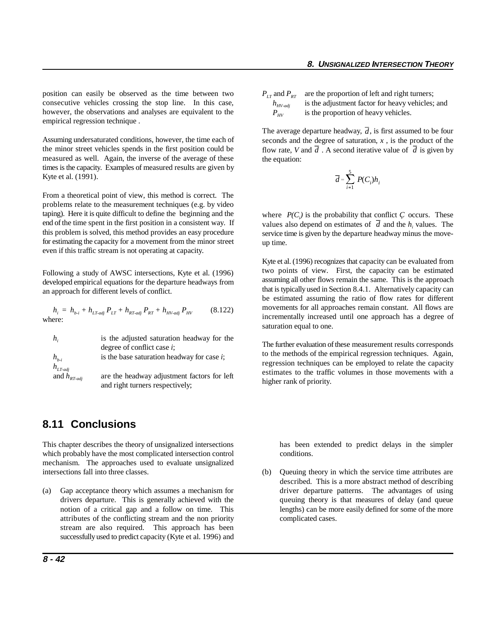position can easily be observed as the time between two consecutive vehicles crossing the stop line. In this case, however, the observations and analyses are equivalent to the empirical regression technique .

Assuming undersaturated conditions, however, the time each of the minor street vehicles spends in the first position could be measured as well. Again, the inverse of the average of these times is the capacity. Examples of measured results are given by Kyte et al. (1991).

From a theoretical point of view, this method is correct. The problems relate to the measurement techniques (e.g. by video taping). Here it is quite difficult to define the beginning and the end of the time spent in the first position in a consistent way. If this problem is solved, this method provides an easy procedure for estimating the capacity for a movement from the minor street even if this traffic stream is not operating at capacity.

Following a study of AWSC intersections, Kyte et al. (1996) developed empirical equations for the departure headways from an approach for different levels of conflict.

$$
h_i = h_{b-i} + h_{LT\text{-adj}} P_{LT} + h_{RT\text{-adj}} P_{RT} + h_{HV\text{-adj}} P_{HV}
$$
 (8.122)  
where:

| $h_i$                   | is the adjusted saturation headway for the    |
|-------------------------|-----------------------------------------------|
|                         | degree of conflict case $i$ ;                 |
| $h_{h,i}$               | is the base saturation headway for case $i$ ; |
| $h_{LT\text{-}adj}$     |                                               |
| and $h_{RT\text{-}adj}$ | are the headway adjustment factors for left   |
|                         | and right turners respectively;               |

# **8.11 Conclusions**

This chapter describes the theory of unsignalized intersections has been extended to predict delays in the simpler which probably have the most complicated intersection control conditions. mechanism. The approaches used to evaluate unsignalized intersections fall into three classes. (b) Queuing theory in which the service time attributes are

attributes of the conflicting stream and the non priority complicated cases. stream are also required. This approach has been successfully used to predict capacity (Kyte et al. 1996) and

 $P_{LT}$  and  $P_{RT}$  are the proportion of left and right turners;<br> $h_{HV\text{-}adi}$  is the adjustment factor for heavy vehicles; is the adjustment factor for heavy vehicles; and  $P_{HV}$  is the proportion of heavy vehicles.

The average departure headway,  $d$ , is first assumed to be four flow rate, *V* and  $d$ . A second iterative value of  $d$  is given by seconds and the degree of saturation,  $x$ , is the product of the the equation:

$$
\overline{d} = \sum_{i=1}^{5} P(C_i) h_i
$$

values also depend on estimates of  $d$  and the  $h_i$  values. The where  $P(C_i)$  is the probability that conflict *C* occurs. These service time is given by the departure headway minus the moveup time.

Kyte et al. (1996) recognizes that capacity can be evaluated from two points of view. First, the capacity can be estimated assuming all other flows remain the same. This is the approach that is typically used in Section 8.4.1. Alternatively capacity can be estimated assuming the ratio of flow rates for different movements for all approaches remain constant. All flows are incrementally increased until one approach has a degree of saturation equal to one.

The further evaluation of these measurement results corresponds to the methods of the empirical regression techniques. Again, regression techniques can be employed to relate the capacity estimates to the traffic volumes in those movements with a higher rank of priority.

(a) Gap acceptance theory which assumes a mechanism for driver departure patterns. The advantages of using drivers departure. This is generally achieved with the queuing theory is that measures of delay (and queue notion of a critical gap and a follow on time. This lengths) can be more easily defined for some of the more described. This is a more abstract method of describing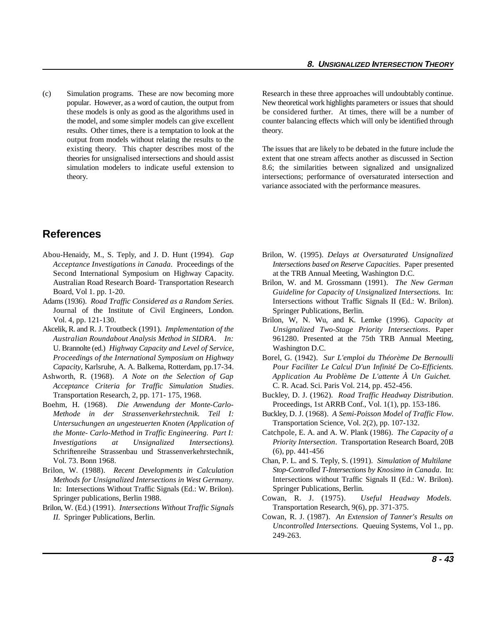(c) Simulation programs. These are now becoming more Research in these three approaches will undoubtably continue. results. Other times, there is a temptation to look at the theory. output from models without relating the results to the

popular. However, as a word of caution, the output from New theoretical work highlights parameters or issues that should these models is only as good as the algorithms used in be considered further. At times, there will be a number of the model, and some simpler models can give excellent counter balancing effects which will only be identified through

existing theory. This chapter describes most of the The issues that are likely to be debated in the future include the theories for unsignalised intersections and should assist extent that one stream affects another as discussed in Section simulation modelers to indicate useful extension to 8.6; the similarities between signalized and unsignalized theory. intersections; performance of oversaturated intersection and variance associated with the performance measures.

# **References**

- Second International Symposium on Highway Capacity. at the TRB Annual Meeting, Washington D.C. Australian Road Research Board- Transportation Research Board, Vol 1. pp. 1-20.
- Adams (1936). *Road Traffic Considered as a Random Series.* Journal of the Institute of Civil Engineers, London. Vol. 4, pp. 121-130.
- Akcelik, R. and R. J. Troutbeck (1991). *Implementation of the Australian Roundabout Analysis Method in SIDRA*. *In:* U. Brannolte (ed.) *Highway Capacity and Level of Service,* Washington D.C. *Proceedings of the International Symposium on Highway* Borel, G. (1942). *Sur L'emploi du Théorème De Bernoulli*
- *Acceptance Criteria for Traffic Simulation Studies*.
- Boehm, H. (1968). *Die Anwendung der Monte-Carlo-Methode in der Strassenverkehrstechnik. Teil I: Untersuchungen an ungesteuerten Knoten (Application of the Monte- Carlo-Method in Traffic Engineering. Part I: Investigations at Unsignalized Intersections).* Schriftenreihe Strassenbau und Strassenverkehrstechnik, Vol. 73. Bonn 1968.
- Brilon, W. (1988). *Recent Developments in Calculation Methods for Unsignalized Intersections in West Germany*. In: Intersections Without Traffic Signals (Ed.: W. Brilon). Springer publications, Berlin 1988.
- Brilon, W. (Ed.) (1991). *Intersections Without Traffic Signals II.* Springer Publications, Berlin.
- Abou-Henaidy, M., S. Teply, and J. D. Hunt (1994). *Gap* Brilon, W. (1995). *Delays at Oversaturated Unsignalized Acceptance Investigations in Canada*. Proceedings of the *Intersections based on Reserve Capacities*. Paper presented
	- Brilon, W. and M. Grossmann (1991). *The New German Guideline for Capacity of Unsignalized Intersections.* In: Intersections without Traffic Signals II (Ed.: W. Brilon). Springer Publications, Berlin.
	- Brilon, W, N. Wu, and K. Lemke (1996). *Capacity at Unsignalized Two-Stage Priority Intersections*. Paper 961280. Presented at the 75th TRB Annual Meeting,
- *Capacity*, Karlsruhe, A. A. Balkema, Rotterdam, pp.17-34. *Pour Faciliter Le Calcul D'un Infinité De Co-Efficients.* Ashworth, R. (1968). *A Note on the Selection of Gap Application Au Problème De L'attente À Un Guichet.* C. R. Acad. Sci. Paris Vol. 214, pp. 452-456.
	- Transportation Research, 2, pp. 171- 175, 1968. Buckley, D. J. (1962). *Road Traffic Headway Distribution*. Proceedings, 1st ARRB Conf., Vol. 1(1), pp. 153-186.
		- Buckley, D. J. (1968). *A Semi-Poisson Model of Traffic Flow*. Transportation Science, Vol. 2(2), pp. 107-132.
		- Catchpole, E. A. and A. W. Plank (1986). *The Capacity of a Priority Intersection*. Transportation Research Board, 20B (6), pp. 441-456
		- Chan, P. L. and S. Teply, S. (1991). *Simulation of Multilane Stop-Controlled T-Intersections by Knosimo in Canada*. In: Intersections without Traffic Signals II (Ed.: W. Brilon). Springer Publications, Berlin.
		- Cowan, R. J. (1975). *Useful Headway Models*. Transportation Research, 9(6), pp. 371-375.
		- Cowan, R. J. (1987). *An Extension of Tanner's Results on Uncontrolled Intersections.* Queuing Systems, Vol 1., pp. 249-263.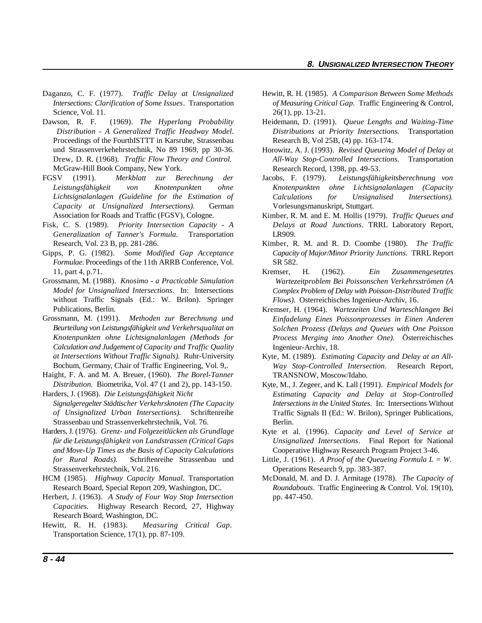- Daganzo, C. F. (1977). *Traffic Delay at Unsignalized* Hewitt, R. H. (1985). *A Comparison Between Some Methods* Science, Vol. 11. 26(1), pp. 13-21.
- Dawson, R. F. (1969). *The Hyperlang Probability* Heidemann, D. (1991). *Queue Lengths and Waiting-Time* Proceedings of the FourthISTTT in Karsruhe, Strassenbau Research B, Vol 25B, (4) pp. 163-174. und Strassenverkehehrstechnik, No 89 1969, pp 30-36. Drew, D. R. (1968). *Traffic Flow Theory and Control.* McGraw-Hill Book Company, New York.
- FGSV (1991). *Merkblatt zur Berechnung der Leistungsfähigkeit von Knotenpunkten ohne Lichtsignalanlagen (Guideline for the Estimation of Capacity at Unsignalized Intersections).* German Vorlesungsmanuskript, Stuttgart. Association for Roads and Traffic (FGSV), Cologne.
- Fisk, C. S. (1989). *Priority Intersection Capacity A Generalization of Tanner's Formula.* Transportation LR909. Research, Vol. 23 B, pp. 281-286.
- Gipps, P. G. (1982). *Some Modified Gap Acceptance Formulae*. Proceedings of the 11th ARRB Conference, Vol. SR 582. 11, part 4, p.71.
- Grossmann, M. (1988). *Knosimo a Practicable Simulation Model for Unsignalized Intersections*. In: Intersections without Traffic Signals (Ed.: W. Brilon). Springer Publications, Berlin.
- Grossmann, M. (1991). *Methoden zur Berechnung und Beurteilung von Leistungsfähigkeit und Verkehrsqualitat an Knotenpunkten ohne Lichtsignalanlagen (Methods for Calculation and Judgement of Capacity and Traffic Quality at Intersections Without Traffic Signals).* Ruhr-University Bochum, Germany, Chair of Traffic Engineering, Vol. 9,.
- Haight, F. A. and M. A. Breuer, (1960). *The Borel-Tanner Distribution.* Biometrika, Vol. 47 (1 and 2), pp. 143-150.
- Harders, J. (1968). *Die Leistungsfähigkeit Nicht Signalgeregelter Städtischer Verkehrsknoten (The Capacity of Unsignalized Urban Intersections)*. Schriftenreihe Strassenbau und Strassenverkehrstechnik, Vol. 76.
- Harders, J. (1976). *Grenz- und Folgezeitlücken als Grundlage für die Leistungsfähigkeit von Landstrassen (Critical Gaps and Move-Up Times as the Basis of Capacity Calculations* Cooperative Highway Research Program Project 3-46. *for Rural Roads).* Schriftenreihe Strassenbau und Little, J. (1961). *A Proof of the Queueing Formula L = W*. Strassenverkehrstechnik, Vol. 216. Operations Research 9, pp. 383-387.
- Research Board, Special Report 209, Washington, DC.
- Herbert, J. (1963). *A Study of Four Way Stop Intersection* pp. 447-450. *Capacities*. Highway Research Record, 27, Highway Research Board, Washington, DC.
- Hewitt, R. H. (1983). *Measuring Critical Gap*. Transportation Science, 17(1), pp. 87-109.
- *Intersections: Clarification of Some Issues*. Transportation *of Measuring Critical Gap.* Traffic Engineering & Control,
- *Distribution A Generalized Traffic Headway Model*. *Distributions at Priority Intersections.* Transportation
	- Horowitz, A. J. (1993). *Revised Queueing Model of Delay at All-Way Stop-Controlled Intersections*. Transportation Research Record, 1398, pp. 49-53.
	- Jacobs, F. (1979). *Leistungsfähigkeitsberechnung von Knotenpunkten ohne Lichtsignalanlagen (Capacity Calculations for Unsignalised Intersections).*
	- Kimber, R. M. and E. M. Hollis (1979). *Traffic Queues and Delays at Road Junctions*. TRRL Laboratory Report,
	- Kimber, R. M. and R. D. Coombe (1980). *The Traffic Capacity of Major/Minor Priority Junctions.* TRRL Report
	- Kremser, H. (1962). *Ein Zusammengesetztes Wartezeitproblem Bei Poissonschen Verkehrsströmen (A Complex Problem of Delay with Poisson-Distributed Traffic Flows)*. Osterreichisches Ingenieur-Archiv, 16.
	- Kremser, H. (1964). *Wartezeiten Und Warteschlangen Bei Einfadelung Eines Poissonprozesses in Einen Anderen Solchen Prozess (Delays and Queues with One Poisson Process Merging into Another One)*. Österreichisches Ingenieur-Archiv, 18.
	- Kyte, M. (1989). *Estimating Capacity and Delay at an All-Way Stop-Controlled Intersection*. Research Report, TRANSNOW, Moscow/Idaho.
	- Kyte, M., J. Zegeer, and K. Lall (1991). *Empirical Models for Estimating Capacity and Delay at Stop-Controlled Intersections in the United States.* In: Intersections Without Traffic Signals II (Ed.: W. Brilon), Springer Publications, Berlin.
	- Kyte et al. (1996). *Capacity and Level of Service at Unsignalized Intersections*. Final Report for National
	-
- HCM (1985). *Highway Capacity Manual.* Transportation McDonald, M. and D. J. Armitage (1978). *The Capacity of Roundabouts*. Traffic Engineering & Control. Vol. 19(10),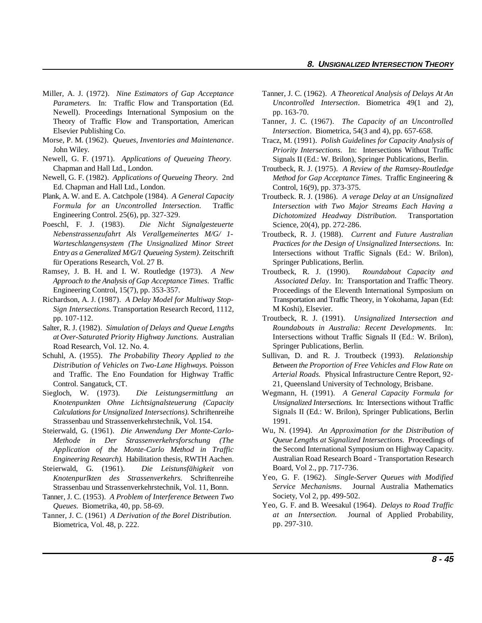- Miller, A. J. (1972). *Nine Estimators of Gap Acceptance Parameters.* In: Traffic Flow and Transportation (Ed. Newell). Proceedings International Symposium on the Elsevier Publishing Co.
- Morse, P. M. (1962). *Queues, Inventories and Maintenance*. John Wiley.
- Newell, G. F. (1971). *Applications of Queueing Theory.* Chapman and Hall Ltd., London.
- Newell, G. F. (1982). *Applications of Queueing Theory.* 2nd Ed. Chapman and Hall Ltd., London.
- Plank, A. W. and E. A. Catchpole (1984). *A General Capacity Formula for an Uncontrolled Intersection.* Traffic Engineering Control. 25(6), pp. 327-329.
- Poeschl, F. J. (1983). *Die Nicht Signalgesteuerte Nebenstrassenzufahrt Als Verallgemeinertes M/G/ 1- Warteschlangensystem (The Unsignalized Minor Street Entry as a Generalized M/G/1 Queueing System)*. Zeitschrift für Operations Research, Vol. 27 B.
- Ramsey, J. B. H. and I. W. Routledge (1973). *A New Approach to the Analysis of Gap Acceptance Times.* Traffic Engineering Control, 15(7), pp. 353-357.
- *Sign Intersections*. Transportation Research Record, 1112, pp. 107-112. Troutbeck, R. J. (1991). *Unsignalized Intersection and*
- *at Over-Saturated Priority Highway Junctions.* Australian Road Research, Vol. 12. No. 4.
- Schuhl, A. (1955). *The Probability Theory Applied to the Distribution of Vehicles on Two-Lane Highways.* Poisson Control. Sangatuck, CT. 21, Queensland University of Technology, Brisbane.
- Siegloch, W. (1973). *Die Leistungsermittlung an* Wegmann, H. (1991). *A General Capacity Formula for Calculations for Unsignalized Intersections).* Schriftenreihe Strassenbau und Strassenverkehrstechnik, Vol. 154.
- Steierwald, G. (1961). *Die Anwendung Der Monte-Carlo-Methode in Der Strassenverkehrsforschung (The Application of the Monte-Carlo Method in Traffic Engineering Research).* Habilitation thesis, RWTH Aachen.
- Steierwald, G. (1961). *Die Leistunsfähigkeit von Knotenpurlkten des Strassenverkehrs.* Schriftenreihe Strassenbau und Strassenverkehrstechnik, Vol. 11, Bonn.
- Tanner, J. C. (1953). *A Problem of Interference Between Two Queues.* Biometrika, 40, pp. 58-69.
- Tanner, J. C. (1961) *A Derivation of the Borel Distribution.* Biometrica, Vol. 48, p. 222.
- Tanner, J. C. (1962). *A Theoretical Analysis of Delays At An Uncontrolled Intersection*. Biometrica 49(1 and 2), pp. 163-70.
- Theory of Traffic Flow and Transportation, American Tanner, J. C. (1967). *The Capacity of an Uncontrolled Intersection*. Biometrica, 54(3 and 4), pp. 657-658.
	- Tracz, M. (1991). *Polish Guidelines for Capacity Analysis of Priority Intersections.* In: Intersections Without Traffic Signals II (Ed.: W. Brilon), Springer Publications, Berlin.
	- Troutbeck, R. J. (1975). *A Review of the Ramsey-Routledge Method for Gap Acceptance Times*. Traffic Engineering & Control, 16(9), pp. 373-375.
	- Troutbeck. R. J. (1986). *A verage Delay at an Unsignalized Intersection with Two Major Streams Each Having a Dichotomized Headway Distribution.* Transportation Science, 20(4), pp. 272-286.
	- Troutbeck, R. J. (1988). *Current and Future Australian Practices for the Design of Unsignalized Intersections.* In: Intersections without Traffic Signals (Ed.: W. Brilon), Springer Publications, Berlin.
- Richardson, A. J. (1987). *A Delay Model for Multiway Stop-* Transportation and Traffic Theory, in Yokohama, Japan (Ed: Troutbeck, R. J. (1990). *Roundabout Capacity and Associated Delay*. In: Transportation and Traffic Theory. Proceedings of the Eleventh International Symposium on M Koshi), Elsevier.
- Salter, R. J. (1982). *Simulation of Delays and Queue Lengths Roundabouts in Australia: Recent Developments*. In: Intersections without Traffic Signals II (Ed.: W. Brilon), Springer Publications, Berlin.
	- and Traffic. The Eno Foundation for Highway Traffic *Arterial Roads.* Physical Infrastructure Centre Report, 92- Sullivan, D. and R. J. Troutbeck (1993). *Relationship Between the Proportion of Free Vehicles and Flow Rate on*
	- *Knotenpunkten Ohne Lichtsignalsteuerung (Capacity Unsignalized Intersections.* In: Intersections without Traffic Signals II (Ed.: W. Brilon), Springer Publications, Berlin 1991.
		- Wu, N. (1994). *An Approximation for the Distribution of Queue Lengths at Signalized Intersections.* Proceedings of the Second International Symposium on Highway Capacity. Australian Road Research Board - Transportation Research Board, Vol 2., pp. 717-736.
		- Yeo, G. F. (1962). *Single-Server Queues with Modified Service Mechanisms*. Journal Australia Mathematics Society, Vol 2, pp. 499-502.
		- Yeo, G. F. and B. Weesakul (1964). *Delays to Road Traffic at an Intersection.* Journal of Applied Probability, pp. 297-310.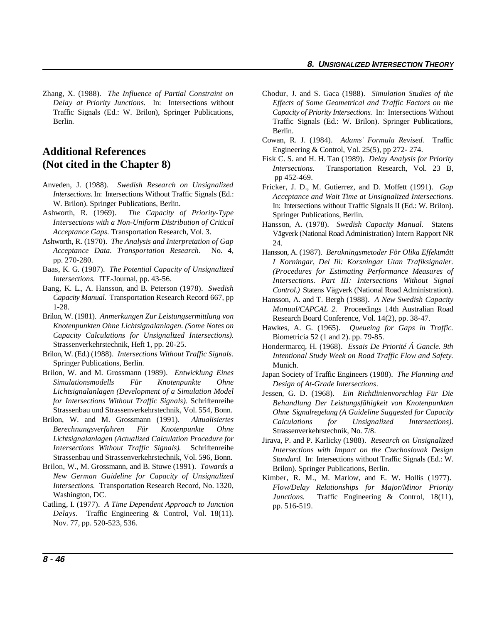Traffic Signals (Ed.: W. Brilon), Springer Publications, Berlin.

# **Additional References (Not cited in the Chapter 8)**

- Anveden, J. (1988). *Swedish Research on Unsignalized Intersections.* In: Intersections Without Traffic Signals (Ed.: W. Brilon). Springer Publications, Berlin.
- Ashworth, R. (1969). *The Capacity of Priority-Type Intersections with a Non-Uniform Distribution of Critical Acceptance Gaps.* Transportation Research, Vol. 3.
- Ashworth, R. (1970). *The Analysis and Interpretation of Gap Acceptance Data. Transportation Research*. No. 4, pp. 270-280.
- Baas, K. G. (1987). *The Potential Capacity of Unsignalized Intersections.* ITE-Journal, pp. 43-56.
- Bang, K. L., A. Hansson, and B. Peterson (1978). *Swedish Capacity Manual*. Transportation Research Record 667, pp 1-28.
- Brilon, W. (1981). *Anmerkungen Zur Leistungsermittlung von Knotenpunkten Ohne Lichtsignalanlagen. (Some Notes on Capacity Calculations for Unsignalized Intersections).* Strassenverkehrstechnik, Heft 1, pp. 20-25.
- Brilon, W. (Ed.) (1988). *Intersections Without Traffic Signals.* Springer Publications, Berlin.
- Brilon, W. and M. Grossmann (1989). *Entwicklung Eines Simulationsmodells Für Knotenpunkte Ohne Lichtsignalanlagen (Development of a Simulation Model for Intersections Without Traffic Signals)*. Schriftenreihe Strassenbau und Strassenverkehrstechnik, Vol. 554, Bonn.
- Brilon, W. and M. Grossmann (1991). *Aktualisiertes Berechnungsverfahren Für Knotenpunkte Ohne Lichtsignalanlagen (Actualized Calculation Procedure for Intersections Without Traffic Signals).* Schriftenreihe Strassenbau und Strassenverkehrstechnik, Vol. 596, Bonn.
- Brilon, W., M. Grossmann, and B. Stuwe (1991). *Towards a New German Guideline for Capacity of Unsignalized Intersections.* Transportation Research Record, No. 1320, Washington, DC.
- Catling, I. (1977). *A Time Dependent Approach to Junction Delays*. Traffic Engineering & Control, Vol. 18(11). Nov. 77, pp. 520-523, 536.
- Zhang, X. (1988). *The Influence of Partial Constraint on* Chodur, J. and S. Gaca (1988). *Simulation Studies of the Delay at Priority Junctions.* In: Intersections without *Effects of Some Geometrical and Traffic Factors on the Capacity of Priority Intersections.* In: Intersections Without Traffic Signals (Ed.: W. Brilon). Springer Publications, Berlin.
	- Cowan, R. J. (1984). *Adams' Formula Revised.* Traffic Engineering & Control, Vol. 25(5), pp 272- 274.
	- Fisk C. S. and H. H. Tan (1989). *Delay Analysis for Priority Intersections.* Transportation Research, Vol. 23 B, pp 452-469.
	- Fricker, J. D., M. Gutierrez, and D. Moffett (1991). *Gap Acceptance and Wait Time at Unsignalized Intersections.* In: Intersections without Traffic Signals II (Ed.: W. Brilon). Springer Publications, Berlin.
	- Hansson, A. (1978). *Swedish Capacity Manual.* Statens Vägverk (National Road Administration) Intern Rapport NR 24.
	- Hansson, A. (1987). *Berakningsmetoder För Olika Effektmått I Korningar, Del Iii: Korsningar Utan Trafiksignaler. (Procedures for Estimating Performance Measures of Intersections. Part III: Intersections Without Signal Control.)* Statens Vägverk (National Road Administration).
	- Hansson, A. and T. Bergh (1988). *A New Swedish Capacity Manual/CAPCAL 2.* Proceedings 14th Australian Road Research Board Conference, Vol. 14(2), pp. 38-47.
	- Hawkes, A. G. (1965). *Queueing for Gaps in Traffic.* Biometricia 52 (1 and 2). pp. 79-85.
	- Hondermarcq, H. (1968). *Essais De Priorité Á Gancle. 9th Intentional Study Week on Road Traffic Flow and Safety.* Munich.
	- Japan Society of Traffic Engineers (1988). *The Planning and Design of At-Grade Intersections*.
	- Jessen, G. D. (1968). *Ein Richtlinienvorschlag Für Die Behandlung Der Leistungsfähigkeit von Knotenpunkten Ohne Signalregelung (A Guideline Suggested for Capacity Calculations for Unsignalized Intersections)*. Strassenverkehrstechnik, No. 7/8.
	- Jirava, P. and P. Karlicky (1988). *Research on Unsignalized Intersections with Impact on the Czechoslovak Design Standard.* In: Intersections without Traffic Signals (Ed.: W. Brilon). Springer Publications, Berlin.
	- Kimber, R. M., M. Marlow, and E. W. Hollis (1977). *Flow/Delay Relationships for Major/Minor Priority Junctions.* Traffic Engineering & Control, 18(11), pp. 516-519.